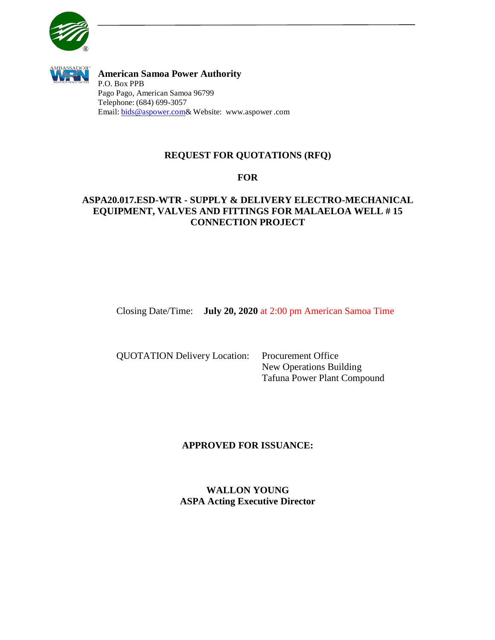



**American Samoa Power Authority** P.O. Box PPB Pago Pago, American Samoa 96799 Telephone: (684) 699-3057 Email: [bids@aspower.com&](mailto:bids@aspower.com) Website: www.aspower .com

# **REQUEST FOR QUOTATIONS (RFQ)**

## **FOR**

## **ASPA20.017.ESD-WTR - SUPPLY & DELIVERY ELECTRO-MECHANICAL EQUIPMENT, VALVES AND FITTINGS FOR MALAELOA WELL # 15 CONNECTION PROJECT**

Closing Date/Time: **July 20, 2020** at 2:00 pm American Samoa Time

QUOTATION Delivery Location: Procurement Office New Operations Building Tafuna Power Plant Compound

# **APPROVED FOR ISSUANCE:**

**WALLON YOUNG ASPA Acting Executive Director**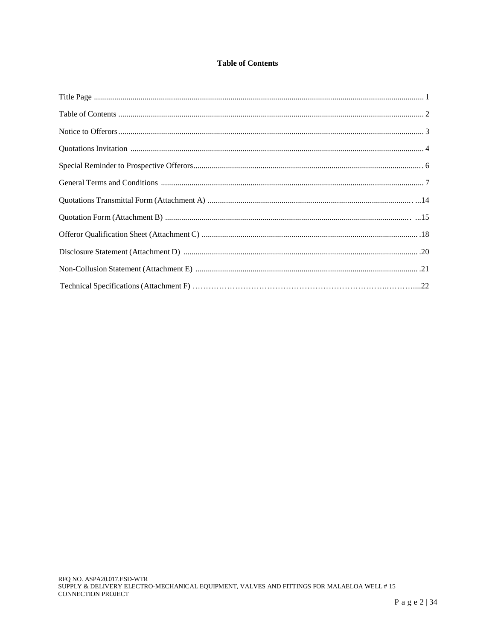### **Table of Contents**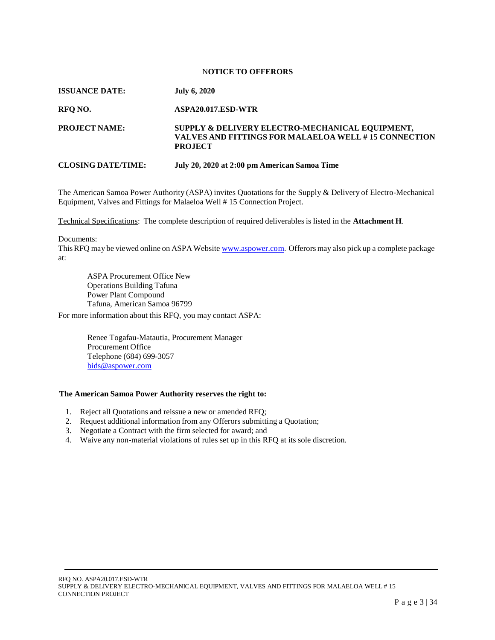### N**OTICE TO OFFERORS**

| <b>ISSUANCE DATE:</b>     | <b>July 6, 2020</b>                                                                                                              |
|---------------------------|----------------------------------------------------------------------------------------------------------------------------------|
| RFO NO.                   | ASPA20.017.ESD-WTR                                                                                                               |
| <b>PROJECT NAME:</b>      | SUPPLY & DELIVERY ELECTRO-MECHANICAL EQUIPMENT,<br><b>VALVES AND FITTINGS FOR MALAELOA WELL #15 CONNECTION</b><br><b>PROJECT</b> |
| <b>CLOSING DATE/TIME:</b> | July 20, 2020 at 2:00 pm American Samoa Time                                                                                     |

The American Samoa Power Authority (ASPA) invites Quotations for the Supply & Delivery of Electro-Mechanical Equipment, Valves and Fittings for Malaeloa Well # 15 Connection Project.

Technical Specifications: The complete description of required deliverables is listed in the **Attachment H**.

#### Documents:

This RFQ may be viewed online on ASPA Website [www.aspower.com.](http://www.aspower.com/) Offerors may also pick up a complete package at:

ASPA Procurement Office New Operations Building Tafuna Power Plant Compound Tafuna, American Samoa 96799

For more information about this RFQ, you may contact ASPA:

Renee Togafau-Matautia, Procurement Manager Procurement Office Telephone (684) 699-3057 [bids@aspower.com](mailto:bids@aspower.com)

#### **The American Samoa Power Authority reserves the right to:**

- 1. Reject all Quotations and reissue a new or amended RFQ;
- 2. Request additional information from any Offerors submitting a Quotation;
- 3. Negotiate a Contract with the firm selected for award; and
- 4. Waive any non-material violations of rules set up in this RFQ at its sole discretion.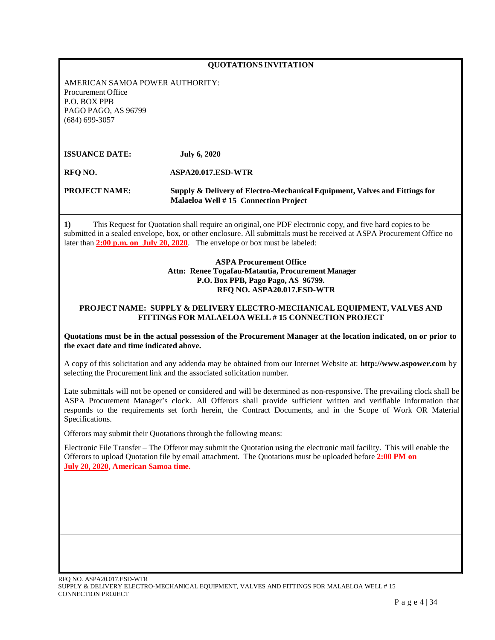### **QUOTATIONS INVITATION**

AMERICAN SAMOA POWER AUTHORITY: Procurement Office P.O. BOX PPB PAGO PAGO, AS 96799

| $(684)$ 699-3057      |                                                                                                                    |
|-----------------------|--------------------------------------------------------------------------------------------------------------------|
| <b>ISSUANCE DATE:</b> | <b>July 6, 2020</b>                                                                                                |
| RFQ NO.               | ASPA20.017.ESD-WTR                                                                                                 |
| <b>PROJECT NAME:</b>  | Supply & Delivery of Electro-Mechanical Equipment, Valves and Fittings for<br>Malaeloa Well #15 Connection Project |

**1)** This Request for Quotation shall require an original, one PDF electronic copy, and five hard copies to be submitted in a sealed envelope, box, or other enclosure. All submittals must be received at ASPA Procurement Office no later than **2:00 p.m. on July 20, 2020**. The envelope or box must be labeled:

#### **ASPA Procurement Office Attn: Renee Togafau-Matautia, Procurement Manager P.O. Box PPB, Pago Pago, AS 96799. RFQ NO. ASPA20.017.ESD-WTR**

### **PROJECT NAME: SUPPLY & DELIVERY ELECTRO-MECHANICAL EQUIPMENT, VALVES AND FITTINGS FOR MALAELOA WELL # 15 CONNECTION PROJECT**

#### Quotations must be in the actual possession of the Procurement Manager at the location indicated, on or prior to **the exact date and time indicated above.**

A copy of this solicitation and any addenda may be obtained from our Internet Website at: **[http://www.aspower.com](http://www.aspower.com/)** by selecting the Procurement link and the associated solicitation number.

Late submittals will not be opened or considered and will be determined as non-responsive. The prevailing clock shall be ASPA Procurement Manager's clock. All Offerors shall provide sufficient written and verifiable information that responds to the requirements set forth herein, the Contract Documents, and in the Scope of Work OR Material Specifications.

Offerors may submit their Quotations through the following means:

Electronic File Transfer – The Offeror may submit the Quotation using the electronic mail facility. This will enable the Offerors to upload Quotation file by email attachment. The Quotations must be uploaded before **2:00 PM on July 20, 2020, American Samoa time.**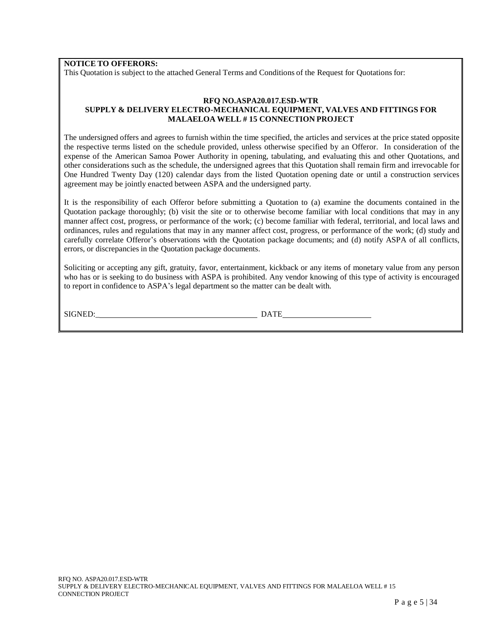### **NOTICE TO OFFERORS:**

This Quotation is subject to the attached General Terms and Conditions of the Request for Quotations for:

#### **RFQ NO.ASPA20.017.ESD-WTR SUPPLY & DELIVERY ELECTRO-MECHANICAL EQUIPMENT, VALVES AND FITTINGS FOR MALAELOA WELL # 15 CONNECTION PROJECT**

The undersigned offers and agrees to furnish within the time specified, the articles and services at the price stated opposite the respective terms listed on the schedule provided, unless otherwise specified by an Offeror. In consideration of the expense of the American Samoa Power Authority in opening, tabulating, and evaluating this and other Quotations, and other considerations such as the schedule, the undersigned agrees that this Quotation shall remain firm and irrevocable for One Hundred Twenty Day (120) calendar days from the listed Quotation opening date or until a construction services agreement may be jointly enacted between ASPA and the undersigned party.

It is the responsibility of each Offeror before submitting a Quotation to (a) examine the documents contained in the Quotation package thoroughly; (b) visit the site or to otherwise become familiar with local conditions that may in any manner affect cost, progress, or performance of the work; (c) become familiar with federal, territorial, and local laws and ordinances, rules and regulations that may in any manner affect cost, progress, or performance of the work; (d) study and carefully correlate Offeror's observations with the Quotation package documents; and (d) notify ASPA of all conflicts, errors, or discrepancies in the Quotation package documents.

Soliciting or accepting any gift, gratuity, favor, entertainment, kickback or any items of monetary value from any person who has or is seeking to do business with ASPA is prohibited. Any vendor knowing of this type of activity is encouraged to report in confidence to ASPA's legal department so the matter can be dealt with.

SIGNED:\_ DATE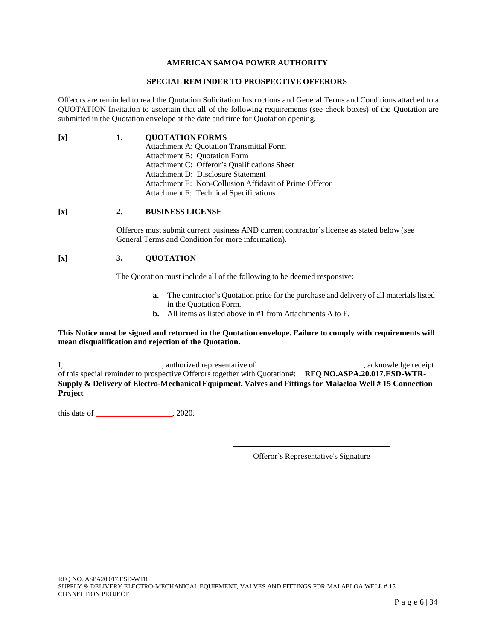#### **AMERICAN SAMOA POWER AUTHORITY**

#### **SPECIAL REMINDER TO PROSPECTIVE OFFERORS**

Offerors are reminded to read the Quotation Solicitation Instructions and General Terms and Conditions attached to a QUOTATION Invitation to ascertain that all of the following requirements (see check boxes) of the Quotation are submitted in the Quotation envelope at the date and time for Quotation opening.

| $\mathbf{[x]}$ | 1. | <b>QUOTATION FORMS</b>                                 |
|----------------|----|--------------------------------------------------------|
|                |    | <b>Attachment A: Quotation Transmittal Form</b>        |
|                |    | Attachment B: Quotation Form                           |
|                |    | Attachment C: Offeror's Qualifications Sheet           |
|                |    | Attachment D: Disclosure Statement                     |
|                |    | Attachment E: Non-Collusion Affidavit of Prime Offeror |
|                |    | Attachment F: Technical Specifications                 |
|                |    |                                                        |

#### **[x] 2. BUSINESS LICENSE**

Offerors must submit current business AND current contractor's license as stated below (see General Terms and Condition for more information).

#### **[x] 3. QUOTATION**

The Quotation must include all of the following to be deemed responsive:

- **a.** The contractor's Quotation price for the purchase and delivery of all materials listed in the Quotation Form.
- **b.** All items as listed above in #1 from Attachments A to F.

#### This Notice must be signed and returned in the Quotation envelope. Failure to comply with requirements will **mean disqualification and rejection of the Quotation.**

I, the contract vertex in the state of the state of the state of the state of the state of the state of the state of the state of the state of the state of the state of the state of the state of the state of the state of t of this special reminder to prospective Offerors together with Quotation#: **RFQ NO.ASPA.20.017.ESD-WTR-Supply & Delivery of Electro-Mechanical Equipment, Valves and Fittings for Malaeloa Well # 15 Connection Project**

this date of  $, 2020.$ 

Offeror's Representative's Signature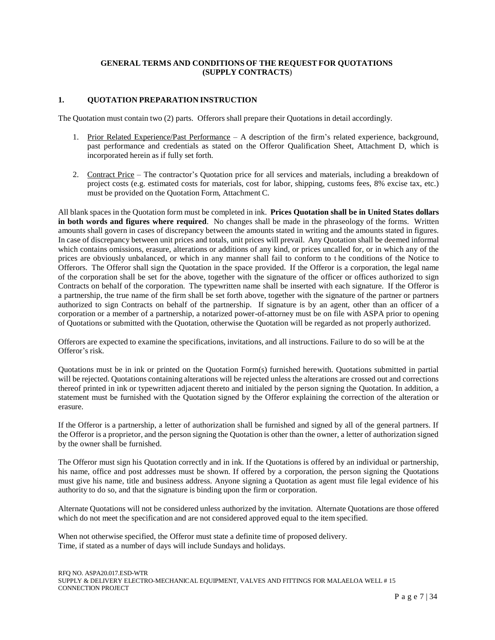#### **GENERAL TERMS AND CONDITIONS OF THE REQUEST FOR QUOTATIONS (SUPPLY CONTRACTS**)

#### **1. QUOTATION PREPARATION INSTRUCTION**

The Quotation must contain two (2) parts. Offerors shall prepare their Quotations in detail accordingly.

- 1. Prior Related Experience/Past Performance A description of the firm's related experience, background, past performance and credentials as stated on the Offeror Qualification Sheet, Attachment D, which is incorporated herein as if fully set forth.
- 2. Contract Price The contractor's Quotation price for all services and materials, including a breakdown of project costs (e.g. estimated costs for materials, cost for labor, shipping, customs fees, 8% excise tax, etc.) must be provided on the Quotation Form, Attachment C.

All blank spaces in the Quotation form must be completed in ink. **Prices Quotation shall be in United States dollars in both words and figures where required**. No changes shall be made in the phraseology of the forms. Written amounts shall govern in cases of discrepancy between the amounts stated in writing and the amounts stated in figures. In case of discrepancy between unit prices and totals, unit prices will prevail. Any Quotation shall be deemed informal which contains omissions, erasure, alterations or additions of any kind, or prices uncalled for, or in which any of the prices are obviously unbalanced, or which in any manner shall fail to conform to t he conditions of the Notice to Offerors. The Offeror shall sign the Quotation in the space provided. If the Offeror is a corporation, the legal name of the corporation shall be set for the above, together with the signature of the officer or offices authorized to sign Contracts on behalf of the corporation. The typewritten name shall be inserted with each signature. If the Offeror is a partnership, the true name of the firm shall be set forth above, together with the signature of the partner or partners authorized to sign Contracts on behalf of the partnership. If signature is by an agent, other than an officer of a corporation or a member of a partnership, a notarized power-of-attorney must be on file with ASPA prior to opening of Quotations or submitted with the Quotation, otherwise the Quotation will be regarded as not properly authorized.

Offerors are expected to examine the specifications, invitations, and all instructions. Failure to do so will be at the Offeror's risk.

Quotations must be in ink or printed on the Quotation Form(s) furnished herewith. Quotations submitted in partial will be rejected. Quotations containing alterations will be rejected unless the alterations are crossed out and corrections thereof printed in ink or typewritten adjacent thereto and initialed by the person signing the Quotation. In addition, a statement must be furnished with the Quotation signed by the Offeror explaining the correction of the alteration or erasure.

If the Offeror is a partnership, a letter of authorization shall be furnished and signed by all of the general partners. If the Offeror is a proprietor, and the person signing the Quotation is other than the owner, a letter of authorization signed by the owner shall be furnished.

The Offeror must sign his Quotation correctly and in ink. If the Quotations is offered by an individual or partnership, his name, office and post addresses must be shown. If offered by a corporation, the person signing the Quotations must give his name, title and business address. Anyone signing a Quotation as agent must file legal evidence of his authority to do so, and that the signature is binding upon the firm or corporation.

Alternate Quotations will not be considered unless authorized by the invitation. Alternate Quotations are those offered which do not meet the specification and are not considered approved equal to the item specified.

When not otherwise specified, the Offeror must state a definite time of proposed delivery. Time, if stated as a number of days will include Sundays and holidays.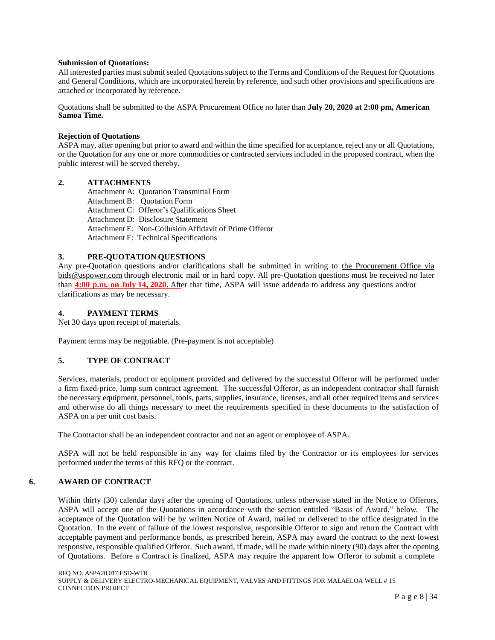#### **Submission of Quotations:**

All interested parties must submit sealed Quotations subject to the Terms and Conditions of the Request for Quotations and General Conditions, which are incorporated herein by reference, and such other provisions and specifications are attached or incorporated by reference.

 Quotations shall be submitted to the ASPA Procurement Office no later than **July 20, 2020 at 2:00 pm, American Samoa Time.**

#### **Rejection of Quotations**

ASPA may, after opening but prior to award and within the time specified for acceptance, reject any or all Quotations, or the Quotation for any one or more commodities or contracted services included in the proposed contract, when the public interest will be served thereby.

#### **2. ATTACHMENTS**

Attachment A: Quotation Transmittal Form Attachment B: Quotation Form Attachment C: Offeror's Qualifications Sheet Attachment D: Disclosure Statement Attachment E: Non-Collusion Affidavit of Prime Offeror Attachment F: Technical Specifications

#### **3. PRE-QUOTATION QUESTIONS**

Any pre-Quotation questions and/or clarifications shall be submitted in writing to the Procurement Office via [bids@aspower.com](mailto:bids@aspower.com) through electronic mail or in hard copy. All pre-Quotation questions must be received no later than **4:00 p.m. on July 14, 2020**. After that time, ASPA will issue addenda to address any questions and/or clarifications as may be necessary.

#### **4. PAYMENT TERMS**

Net 30 days upon receipt of materials.

Payment terms may be negotiable. (Pre-payment is not acceptable)

#### **5. TYPE OF CONTRACT**

Services, materials, product or equipment provided and delivered by the successful Offeror will be performed under a firm fixed-price, lump sum contract agreement. The successful Offeror, as an independent contractor shall furnish the necessary equipment, personnel, tools, parts, supplies, insurance, licenses, and all other required items and services and otherwise do all things necessary to meet the requirements specified in these documents to the satisfaction of ASPA on a per unit cost basis.

The Contractor shall be an independent contractor and not an agent or employee of ASPA.

ASPA will not be held responsible in any way for claims filed by the Contractor or its employees for services performed under the terms of this RFQ or the contract.

#### **6. AWARD OF CONTRACT**

Within thirty (30) calendar days after the opening of Quotations, unless otherwise stated in the Notice to Offerors, ASPA will accept one of the Quotations in accordance with the section entitled "Basis of Award," below. The acceptance of the Quotation will be by written Notice of Award, mailed or delivered to the office designated in the Quotation. In the event of failure of the lowest responsive, responsible Offeror to sign and return the Contract with acceptable payment and performance bonds, as prescribed herein, ASPA may award the contract to the next lowest responsive, responsible qualified Offeror. Such award, if made, will be made within ninety (90) days after the opening of Quotations. Before a Contract is finalized, ASPA may require the apparent low Offeror to submit a complete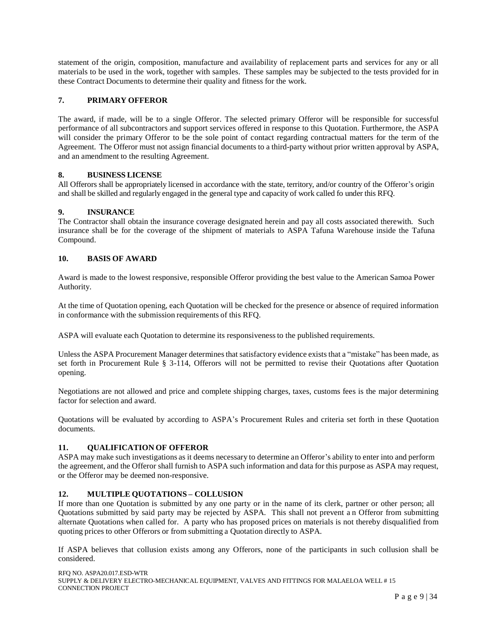statement of the origin, composition, manufacture and availability of replacement parts and services for any or all materials to be used in the work, together with samples. These samples may be subjected to the tests provided for in these Contract Documents to determine their quality and fitness for the work.

### **7. PRIMARY OFFEROR**

The award, if made, will be to a single Offeror. The selected primary Offeror will be responsible for successful performance of all subcontractors and support services offered in response to this Quotation. Furthermore, the ASPA will consider the primary Offeror to be the sole point of contact regarding contractual matters for the term of the Agreement. The Offeror must not assign financial documents to a third-party without prior written approval by ASPA, and an amendment to the resulting Agreement.

### **8. BUSINESS LICENSE**

All Offerors shall be appropriately licensed in accordance with the state, territory, and/or country of the Offeror's origin and shall be skilled and regularly engaged in the general type and capacity of work called fo under this RFQ.

#### **9. INSURANCE**

The Contractor shall obtain the insurance coverage designated herein and pay all costs associated therewith. Such insurance shall be for the coverage of the shipment of materials to ASPA Tafuna Warehouse inside the Tafuna Compound.

#### **10. BASIS OF AWARD**

Award is made to the lowest responsive, responsible Offeror providing the best value to the American Samoa Power Authority.

At the time of Quotation opening, each Quotation will be checked for the presence or absence of required information in conformance with the submission requirements of this RFQ.

ASPA will evaluate each Quotation to determine its responsivenessto the published requirements.

Unless the ASPA Procurement Manager determines that satisfactory evidence exists that a "mistake" has been made, as set forth in Procurement Rule § 3-114, Offerors will not be permitted to revise their Quotations after Quotation opening.

Negotiations are not allowed and price and complete shipping charges, taxes, customs fees is the major determining factor for selection and award.

Quotations will be evaluated by according to ASPA's Procurement Rules and criteria set forth in these Quotation documents.

#### **11. QUALIFICATION OF OFFEROR**

ASPA may make such investigations as it deems necessary to determine an Offeror's ability to enter into and perform the agreement, and the Offeror shall furnish to ASPA such information and data for this purpose as ASPA may request, or the Offeror may be deemed non-responsive.

### **12. MULTIPLE QUOTATIONS – COLLUSION**

If more than one Quotation is submitted by any one party or in the name of its clerk, partner or other person; all Quotations submitted by said party may be rejected by ASPA. This shall not prevent a n Offeror from submitting alternate Quotations when called for. A party who has proposed prices on materials is not thereby disqualified from quoting prices to other Offerors or from submitting a Quotation directly to ASPA.

If ASPA believes that collusion exists among any Offerors, none of the participants in such collusion shall be considered.

RFQ NO. ASPA20.017.ESD-WTR SUPPLY & DELIVERY ELECTRO-MECHANICAL EQUIPMENT, VALVES AND FITTINGS FOR MALAELOA WELL # 15 CONNECTION PROJECT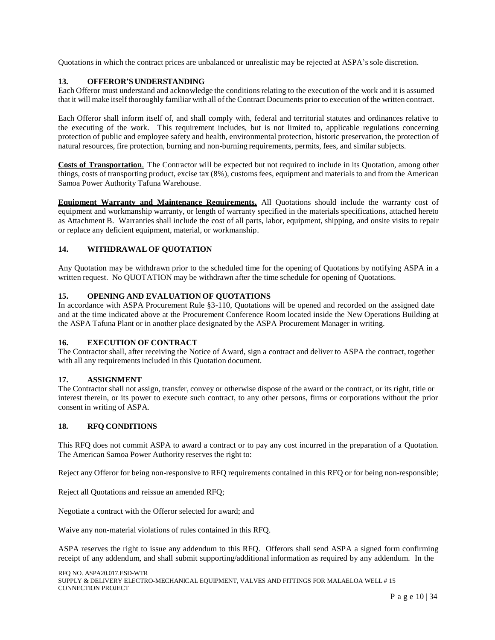Quotations in which the contract prices are unbalanced or unrealistic may be rejected at ASPA's sole discretion.

### **13. OFFEROR'S UNDERSTANDING**

Each Offeror must understand and acknowledge the conditionsrelating to the execution of the work and it is assumed that it will make itself thoroughly familiar with all of the Contract Documents prior to execution of the written contract.

Each Offeror shall inform itself of, and shall comply with, federal and territorial statutes and ordinances relative to the executing of the work. This requirement includes, but is not limited to, applicable regulations concerning protection of public and employee safety and health, environmental protection, historic preservation, the protection of natural resources, fire protection, burning and non-burning requirements, permits, fees, and similar subjects.

**Costs of Transportation**. The Contractor will be expected but not required to include in its Quotation, among other things, costs of transporting product, excise tax (8%), customs fees, equipment and materials to and from the American Samoa Power Authority Tafuna Warehouse.

**Equipment Warranty and Maintenance Requirements.** All Quotations should include the warranty cost of equipment and workmanship warranty, or length of warranty specified in the materials specifications, attached hereto as Attachment B. Warranties shall include the cost of all parts, labor, equipment, shipping, and onsite visits to repair or replace any deficient equipment, material, or workmanship.

### **14. WITHDRAWAL OF QUOTATION**

Any Quotation may be withdrawn prior to the scheduled time for the opening of Quotations by notifying ASPA in a written request. No QUOTATION may be withdrawn after the time schedule for opening of Quotations.

### **15. OPENING AND EVALUATION OF QUOTATIONS**

In accordance with ASPA Procurement Rule §3-110, Quotations will be opened and recorded on the assigned date and at the time indicated above at the Procurement Conference Room located inside the New Operations Building at the ASPA Tafuna Plant or in another place designated by the ASPA Procurement Manager in writing.

### **16. EXECUTION OF CONTRACT**

The Contractor shall, after receiving the Notice of Award, sign a contract and deliver to ASPA the contract, together with all any requirements included in this Quotation document.

### **17. ASSIGNMENT**

The Contractor shall not assign, transfer, convey or otherwise dispose of the award or the contract, or its right, title or interest therein, or its power to execute such contract, to any other persons, firms or corporations without the prior consent in writing of ASPA.

### **18. RFQ CONDITIONS**

This RFQ does not commit ASPA to award a contract or to pay any cost incurred in the preparation of a Quotation. The American Samoa Power Authority reserves the right to:

Reject any Offeror for being non-responsive to RFQ requirements contained in this RFQ or for being non-responsible;

Reject all Quotations and reissue an amended RFQ;

Negotiate a contract with the Offeror selected for award; and

Waive any non-material violations of rules contained in this RFQ.

ASPA reserves the right to issue any addendum to this RFQ. Offerors shall send ASPA a signed form confirming receipt of any addendum, and shall submit supporting/additional information as required by any addendum. In the

RFQ NO. ASPA20.017.ESD-WTR SUPPLY & DELIVERY ELECTRO-MECHANICAL EQUIPMENT, VALVES AND FITTINGS FOR MALAELOA WELL # 15 CONNECTION PROJECT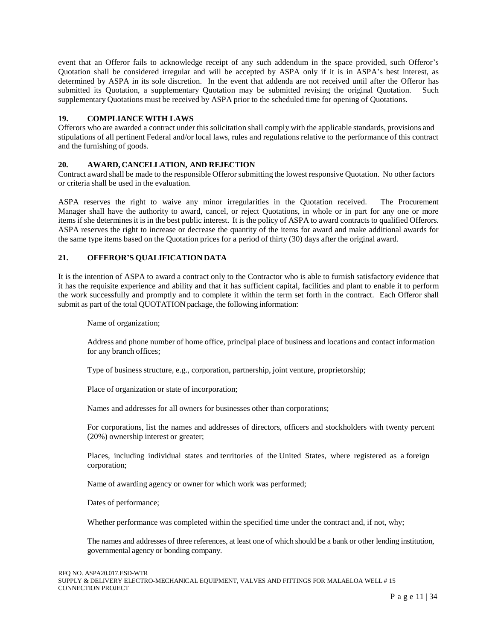event that an Offeror fails to acknowledge receipt of any such addendum in the space provided, such Offeror's Quotation shall be considered irregular and will be accepted by ASPA only if it is in ASPA's best interest, as determined by ASPA in its sole discretion. In the event that addenda are not received until after the Offeror has submitted its Quotation, a supplementary Quotation may be submitted revising the original Quotation. Such supplementary Quotations must be received by ASPA prior to the scheduled time for opening of Quotations.

#### **19. COMPLIANCE WITH LAWS**

Offerors who are awarded a contract under this solicitation shall comply with the applicable standards, provisions and stipulations of all pertinent Federal and/or local laws, rules and regulations relative to the performance of this contract and the furnishing of goods.

#### **20. AWARD, CANCELLATION, AND REJECTION**

Contract award shall be made to the responsible Offeror submitting the lowest responsive Quotation. No other factors or criteria shall be used in the evaluation.

ASPA reserves the right to waive any minor irregularities in the Quotation received. The Procurement Manager shall have the authority to award, cancel, or reject Quotations, in whole or in part for any one or more items if she determines it is in the best public interest. It is the policy of ASPA to award contracts to qualified Offerors. ASPA reserves the right to increase or decrease the quantity of the items for award and make additional awards for the same type items based on the Quotation prices for a period of thirty (30) days after the original award.

### **21. OFFEROR'S QUALIFICATION DATA**

It is the intention of ASPA to award a contract only to the Contractor who is able to furnish satisfactory evidence that it has the requisite experience and ability and that it has sufficient capital, facilities and plant to enable it to perform the work successfully and promptly and to complete it within the term set forth in the contract. Each Offeror shall submit as part of the total QUOTATION package, the following information:

Name of organization;

Address and phone number of home office, principal place of business and locations and contact information for any branch offices;

Type of business structure, e.g., corporation, partnership, joint venture, proprietorship;

Place of organization or state of incorporation;

Names and addresses for all owners for businesses other than corporations;

For corporations, list the names and addresses of directors, officers and stockholders with twenty percent (20%) ownership interest or greater;

Places, including individual states and territories of the United States, where registered as a foreign corporation;

Name of awarding agency or owner for which work was performed;

Dates of performance;

Whether performance was completed within the specified time under the contract and, if not, why;

The names and addresses of three references, at least one of which should be a bank or other lending institution, governmental agency or bonding company.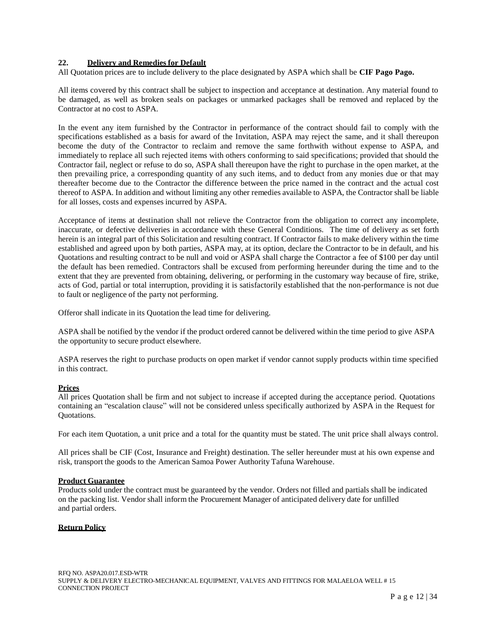#### **22. Delivery and Remedies for Default**

All Quotation prices are to include delivery to the place designated by ASPA which shall be **CIF Pago Pago.**

All items covered by this contract shall be subject to inspection and acceptance at destination. Any material found to be damaged, as well as broken seals on packages or unmarked packages shall be removed and replaced by the Contractor at no cost to ASPA.

In the event any item furnished by the Contractor in performance of the contract should fail to comply with the specifications established as a basis for award of the Invitation, ASPA may reject the same, and it shall thereupon become the duty of the Contractor to reclaim and remove the same forthwith without expense to ASPA, and immediately to replace all such rejected items with others conforming to said specifications; provided that should the Contractor fail, neglect or refuse to do so, ASPA shall thereupon have the right to purchase in the open market, at the then prevailing price, a corresponding quantity of any such items, and to deduct from any monies due or that may thereafter become due to the Contractor the difference between the price named in the contract and the actual cost thereof to ASPA. In addition and without limiting any other remedies available to ASPA, the Contractor shall be liable for all losses, costs and expenses incurred by ASPA.

Acceptance of items at destination shall not relieve the Contractor from the obligation to correct any incomplete, inaccurate, or defective deliveries in accordance with these General Conditions. The time of delivery as set forth herein is an integral part of this Solicitation and resulting contract. If Contractor fails to make delivery within the time established and agreed upon by both parties, ASPA may, at its option, declare the Contractor to be in default, and his Quotations and resulting contract to be null and void or ASPA shall charge the Contractor a fee of \$100 per day until the default has been remedied. Contractors shall be excused from performing hereunder during the time and to the extent that they are prevented from obtaining, delivering, or performing in the customary way because of fire, strike, acts of God, partial or total interruption, providing it is satisfactorily established that the non-performance is not due to fault or negligence of the party not performing.

Offeror shall indicate in its Quotation the lead time for delivering.

ASPA shall be notified by the vendor if the product ordered cannot be delivered within the time period to give ASPA the opportunity to secure product elsewhere.

ASPA reserves the right to purchase products on open market if vendor cannot supply products within time specified in this contract.

#### **Prices**

All prices Quotation shall be firm and not subject to increase if accepted during the acceptance period. Quotations containing an "escalation clause" will not be considered unless specifically authorized by ASPA in the Request for Quotations.

For each item Quotation, a unit price and a total for the quantity must be stated. The unit price shall always control.

All prices shall be CIF (Cost, Insurance and Freight) destination. The seller hereunder must at his own expense and risk, transport the goods to the American Samoa Power Authority Tafuna Warehouse.

#### **Product Guarantee**

Products sold under the contract must be guaranteed by the vendor. Orders not filled and partials shall be indicated on the packing list. Vendor shall inform the Procurement Manager of anticipated delivery date for unfilled and partial orders.

#### **Return Policy**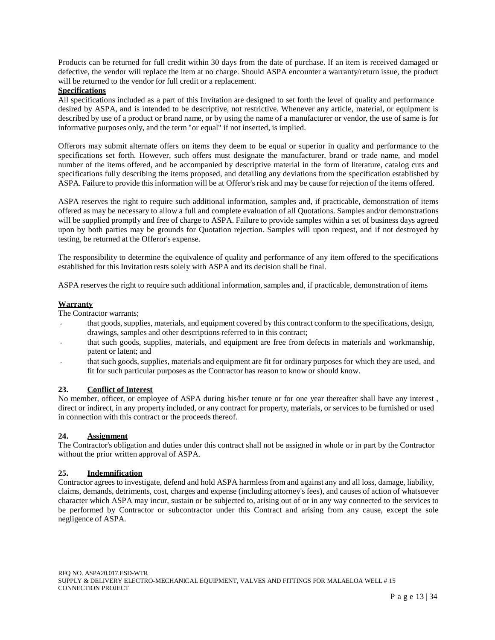Products can be returned for full credit within 30 days from the date of purchase. If an item is received damaged or defective, the vendor will replace the item at no charge. Should ASPA encounter a warranty/return issue, the product will be returned to the vendor for full credit or a replacement.

### **Specifications**

All specifications included as a part of this Invitation are designed to set forth the level of quality and performance desired by ASPA, and is intended to be descriptive, not restrictive. Whenever any article, material, or equipment is described by use of a product or brand name, or by using the name of a manufacturer or vendor, the use of same is for informative purposes only, and the term "or equal" if not inserted, is implied.

Offerors may submit alternate offers on items they deem to be equal or superior in quality and performance to the specifications set forth. However, such offers must designate the manufacturer, brand or trade name, and model number of the items offered, and be accompanied by descriptive material in the form of literature, catalog cuts and specifications fully describing the items proposed, and detailing any deviations from the specification established by ASPA. Failure to provide this information will be at Offeror's risk and may be cause for rejection of the items offered.

ASPA reserves the right to require such additional information, samples and, if practicable, demonstration of items offered as may be necessary to allow a full and complete evaluation of all Quotations. Samples and/or demonstrations will be supplied promptly and free of charge to ASPA. Failure to provide samples within a set of business days agreed upon by both parties may be grounds for Quotation rejection. Samples will upon request, and if not destroyed by testing, be returned at the Offeror's expense.

The responsibility to determine the equivalence of quality and performance of any item offered to the specifications established for this Invitation rests solely with ASPA and its decision shall be final.

ASPA reserves the right to require such additional information, samples and, if practicable, demonstration of items

### **Warranty**

The Contractor warrants;

- that goods, supplies, materials, and equipment covered by this contract conform to the specifications, design, drawings, samples and other descriptions referred to in this contract;
- that such goods, supplies, materials, and equipment are free from defects in materials and workmanship, patent or latent; and
- that such goods, supplies, materials and equipment are fit for ordinary purposes for which they are used, and fit for such particular purposes as the Contractor has reason to know or should know.

### **23. Conflict of Interest**

No member, officer, or employee of ASPA during his/her tenure or for one year thereafter shall have any interest , direct or indirect, in any property included, or any contract for property, materials, or services to be furnished or used in connection with this contract or the proceeds thereof.

### **24. Assignment**

The Contractor's obligation and duties under this contract shall not be assigned in whole or in part by the Contractor without the prior written approval of ASPA.

#### **25. Indemnification**

Contractor agrees to investigate, defend and hold ASPA harmless from and against any and all loss, damage, liability, claims, demands, detriments, cost, charges and expense (including attorney's fees), and causes of action of whatsoever character which ASPA may incur, sustain or be subjected to, arising out of or in any way connected to the services to be performed by Contractor or subcontractor under this Contract and arising from any cause, except the sole negligence of ASPA.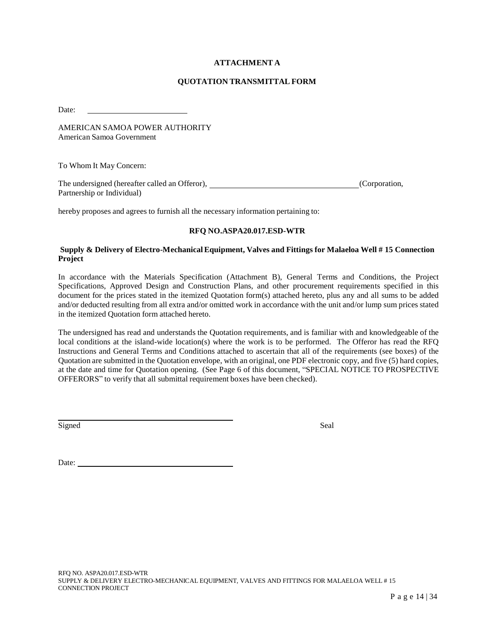#### **ATTACHMENT A**

#### **QUOTATION TRANSMITTAL FORM**

Date:

AMERICAN SAMOA POWER AUTHORITY American Samoa Government

To Whom It May Concern:

| The undersigned (hereafter called an Offeror), | (Corporation, |
|------------------------------------------------|---------------|
| Partnership or Individual)                     |               |

hereby proposes and agrees to furnish all the necessary information pertaining to:

#### **RFQ NO.ASPA20.017.ESD-WTR**

#### **Supply & Delivery of Electro-Mechanical Equipment, Valves and Fittings for Malaeloa Well # 15 Connection Project**

In accordance with the Materials Specification (Attachment B), General Terms and Conditions, the Project Specifications, Approved Design and Construction Plans, and other procurement requirements specified in this document for the prices stated in the itemized Quotation form(s) attached hereto, plus any and all sums to be added and/or deducted resulting from all extra and/or omitted work in accordance with the unit and/or lump sum prices stated in the itemized Quotation form attached hereto.

The undersigned has read and understands the Quotation requirements, and is familiar with and knowledgeable of the local conditions at the island-wide location(s) where the work is to be performed. The Offeror has read the RFQ Instructions and General Terms and Conditions attached to ascertain that all of the requirements (see boxes) of the Quotation are submitted in the Quotation envelope, with an original, one PDF electronic copy, and five (5) hard copies, at the date and time for Quotation opening. (See Page 6 of this document, "SPECIAL NOTICE TO PROSPECTIVE OFFERORS" to verify that all submittal requirement boxes have been checked).

Signed Seal

Date: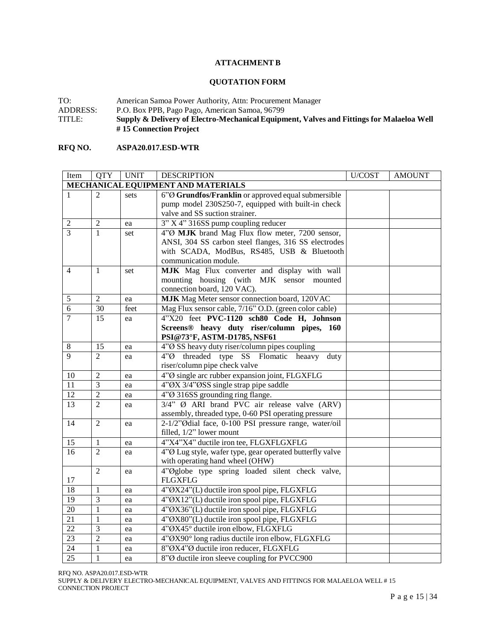### **ATTACHMENT B**

### **QUOTATION FORM**

TO: American Samoa Power Authority, Attn: Procurement Manager ADDRESS: P.O. Box PPB, Pago Pago, American Samoa, 96799 P.O. Box PPB, Pago Pago, American Samoa, 96799 TITLE: **Supply & Delivery of Electro-Mechanical Equipment, Valves and Fittings for Malaeloa Well # 15 Connection Project**

### **RFQ NO. ASPA20.017.ESD-WTR**

| Item             | <b>QTY</b>                         | <b>UNIT</b> | <b>DESCRIPTION</b>                                                                          | U/COST | <b>AMOUNT</b> |
|------------------|------------------------------------|-------------|---------------------------------------------------------------------------------------------|--------|---------------|
|                  | MECHANICAL EQUIPMENT AND MATERIALS |             |                                                                                             |        |               |
| 1                | $\overline{2}$                     | sets        | 6" <sup>O</sup> Grundfos/Franklin or approved equal submersible                             |        |               |
|                  |                                    |             | pump model 230S250-7, equipped with built-in check                                          |        |               |
|                  |                                    |             | valve and SS suction strainer.                                                              |        |               |
| $\boldsymbol{2}$ | $\overline{2}$                     | ea          | $3"$ X 4" 316SS pump coupling reducer                                                       |        |               |
| $\overline{3}$   | $\mathbf{1}$                       | set         | 4"Ø MJK brand Mag Flux flow meter, 7200 sensor,                                             |        |               |
|                  |                                    |             | ANSI, 304 SS carbon steel flanges, 316 SS electrodes                                        |        |               |
|                  |                                    |             | with SCADA, ModBus, RS485, USB & Bluetooth                                                  |        |               |
|                  |                                    |             | communication module.                                                                       |        |               |
| $\overline{4}$   | $\mathbf{1}$                       | set         | MJK Mag Flux converter and display with wall                                                |        |               |
|                  |                                    |             | mounting housing (with MJK sensor mounted                                                   |        |               |
|                  |                                    |             | connection board, 120 VAC).                                                                 |        |               |
| $\sqrt{5}$       | $\overline{2}$                     | ea          | MJK Mag Meter sensor connection board, 120VAC                                               |        |               |
| 6                | 30                                 | feet        | Mag Flux sensor cable, 7/16" O.D. (green color cable)                                       |        |               |
| $\overline{7}$   | $\overline{15}$                    | ea          | 4"X20 feet PVC-1120 sch80 Code H, Johnson                                                   |        |               |
|                  |                                    |             | Screens® heavy duty riser/column pipes, 160                                                 |        |               |
|                  |                                    |             | PSI@73°F, ASTM-D1785, NSF61                                                                 |        |               |
| 8                | 15                                 | ea          | 4"Ø SS heavy duty riser/column pipes coupling                                               |        |               |
| $\overline{9}$   | $\overline{2}$                     | ea          | 4" <sup>O</sup> threaded type SS Flomatic heaavy<br>duty                                    |        |               |
|                  |                                    |             | riser/column pipe check valve                                                               |        |               |
| 10               | $\overline{c}$                     | ea          | 4" <sup>O</sup> single arc rubber expansion joint, FLGXFLG                                  |        |               |
| $\overline{11}$  | 3                                  | ea          | 4"OX 3/4"OSS single strap pipe saddle                                                       |        |               |
| 12               | $\overline{2}$                     | ea          | 4"Ø 316SS grounding ring flange.                                                            |        |               |
| 13               | $\overline{2}$                     | ea          | $3/4$ " Ø ARI brand PVC air release valve (ARV)                                             |        |               |
|                  |                                    |             | assembly, threaded type, 0-60 PSI operating pressure                                        |        |               |
| 14               | $\overline{2}$                     | ea          | 2-1/2"Ødial face, 0-100 PSI pressure range, water/oil<br>filled, 1/2" lower mount           |        |               |
| 15               |                                    |             | 4"X4"X4" ductile iron tee, FLGXFLGXFLG                                                      |        |               |
| 16               | $\mathbf{1}$<br>$\overline{2}$     | ea          |                                                                                             |        |               |
|                  |                                    | ea          | 4"Ø Lug style, wafer type, gear operated butterfly valve<br>with operating hand wheel (OHW) |        |               |
|                  | $\overline{2}$                     | ea          | 4"Øglobe type spring loaded silent check valve,                                             |        |               |
| 17               |                                    |             | <b>FLGXFLG</b>                                                                              |        |               |
| 18               | 1                                  | ea          | 4"ØX24"(L) ductile iron spool pipe, FLGXFLG                                                 |        |               |
| $\overline{19}$  | 3                                  | ea          | 4"ØX12"(L) ductile iron spool pipe, FLGXFLG                                                 |        |               |
| 20               | 1                                  | ea          | 4"ØX36"(L) ductile iron spool pipe, FLGXFLG                                                 |        |               |
| 21               | $\mathbf{1}$                       | ea          | 4"ØX80"(L) ductile iron spool pipe, FLGXFLG                                                 |        |               |
| 22               | 3                                  | ea          | 4"ØX45° ductile iron elbow, FLGXFLG                                                         |        |               |
| $\overline{23}$  | $\overline{2}$                     | ea          | 4"ØX90° long radius ductile iron elbow, FLGXFLG                                             |        |               |
| 24               | $\mathbf{1}$                       | ea          | 8"ØX4"Ø ductile iron reducer, FLGXFLG                                                       |        |               |
| $\overline{25}$  | $\mathbf{1}$                       | ea          | 8" <sup>O</sup> ductile iron sleeve coupling for PVCC900                                    |        |               |
|                  |                                    |             |                                                                                             |        |               |

RFQ NO. ASPA20.017.ESD-WTR SUPPLY & DELIVERY ELECTRO-MECHANICAL EQUIPMENT, VALVES AND FITTINGS FOR MALAELOA WELL # 15 CONNECTION PROJECT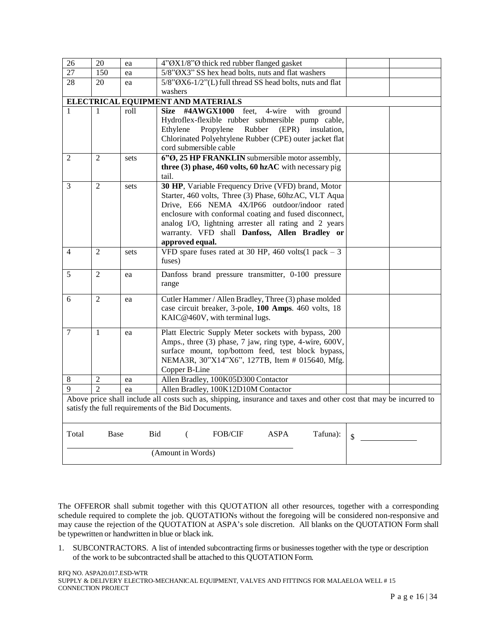| 26                                                                                                                                                                       | 20                | ea   | 4"ØX1/8"Ø thick red rubber flanged gasket                                                                                                                                                                                                                                                                                                          |  |  |
|--------------------------------------------------------------------------------------------------------------------------------------------------------------------------|-------------------|------|----------------------------------------------------------------------------------------------------------------------------------------------------------------------------------------------------------------------------------------------------------------------------------------------------------------------------------------------------|--|--|
| $\overline{27}$                                                                                                                                                          | 150               | ea   | 5/8"OX3" SS hex head bolts, nuts and flat washers                                                                                                                                                                                                                                                                                                  |  |  |
| 28                                                                                                                                                                       | 20                | ea   | 5/8"OX6-1/2"(L) full thread SS head bolts, nuts and flat                                                                                                                                                                                                                                                                                           |  |  |
|                                                                                                                                                                          |                   |      | washers                                                                                                                                                                                                                                                                                                                                            |  |  |
|                                                                                                                                                                          |                   |      | ELECTRICAL EQUIPMENT AND MATERIALS                                                                                                                                                                                                                                                                                                                 |  |  |
| 1                                                                                                                                                                        | 1                 | roll | <b>Size</b><br>#4AWGX1000 feet,<br>4-wire<br>with<br>ground<br>Hydroflex-flexible rubber submersible pump cable,<br>Propylene<br>Rubber<br>(EPR)<br>Ethylene<br>insulation,<br>Chlorinated Polyehtylene Rubber (CPE) outer jacket flat<br>cord submersible cable                                                                                   |  |  |
| 2                                                                                                                                                                        | $\mathfrak{D}$    | sets | 6" Ø, 25 HP FRANKLIN submersible motor assembly,<br>three (3) phase, 460 volts, 60 hzAC with necessary pig<br>tail.                                                                                                                                                                                                                                |  |  |
| 3                                                                                                                                                                        | 2                 | sets | 30 HP, Variable Frequency Drive (VFD) brand, Motor<br>Starter, 460 volts, Three (3) Phase, 60hzAC, VLT Aqua<br>Drive, E66 NEMA 4X/IP66 outdoor/indoor rated<br>enclosure with conformal coating and fused disconnect,<br>analog I/O, lightning arrester all rating and 2 years<br>warranty. VFD shall Danfoss, Allen Bradley or<br>approved equal. |  |  |
| $\overline{4}$                                                                                                                                                           | 2                 | sets | VFD spare fuses rated at 30 HP, 460 volts (1 pack $-3$ )<br>fuses)                                                                                                                                                                                                                                                                                 |  |  |
| 5                                                                                                                                                                        | $\overline{2}$    | ea   | Danfoss brand pressure transmitter, 0-100 pressure<br>range                                                                                                                                                                                                                                                                                        |  |  |
| 6                                                                                                                                                                        | $\overline{2}$    | ea   | Cutler Hammer / Allen Bradley, Three (3) phase molded<br>case circuit breaker, 3-pole, 100 Amps. 460 volts, 18<br>KAIC@460V, with terminal lugs.                                                                                                                                                                                                   |  |  |
| 7                                                                                                                                                                        | 1                 | ea   | Platt Electric Supply Meter sockets with bypass, 200<br>Amps., three (3) phase, 7 jaw, ring type, 4-wire, 600V,<br>surface mount, top/bottom feed, test block bypass,<br>NEMA3R, 30"X14"X6", 127TB, Item # 015640, Mfg.<br>Copper B-Line                                                                                                           |  |  |
| 8                                                                                                                                                                        | $\overline{2}$    | ea   | Allen Bradley, 100K05D300 Contactor                                                                                                                                                                                                                                                                                                                |  |  |
| $\mathbf Q$                                                                                                                                                              | $\mathfrak{D}$    | ea   | Allen Bradley, 100K12D10M Contactor                                                                                                                                                                                                                                                                                                                |  |  |
| Above price shall include all costs such as, shipping, insurance and taxes and other cost that may be incurred to<br>satisfy the full requirements of the Bid Documents. |                   |      |                                                                                                                                                                                                                                                                                                                                                    |  |  |
| <b>ASPA</b><br>Bid<br><b>FOB/CIF</b><br>Tafuna):<br>Total<br>Base<br>(<br>\$                                                                                             |                   |      |                                                                                                                                                                                                                                                                                                                                                    |  |  |
|                                                                                                                                                                          | (Amount in Words) |      |                                                                                                                                                                                                                                                                                                                                                    |  |  |

The OFFEROR shall submit together with this QUOTATION all other resources, together with a corresponding schedule required to complete the job. QUOTATIONs without the foregoing will be considered non-responsive and may cause the rejection of the QUOTATION at ASPA's sole discretion. All blanks on the QUOTATION Form shall be typewritten or handwritten in blue or black ink.

1. SUBCONTRACTORS. A list of intended subcontracting firms or businessestogether with the type or description of the work to be subcontracted shall be attached to this QUOTATION Form.

RFQ NO. ASPA20.017.ESD-WTR SUPPLY & DELIVERY ELECTRO-MECHANICAL EQUIPMENT, VALVES AND FITTINGS FOR MALAELOA WELL # 15 CONNECTION PROJECT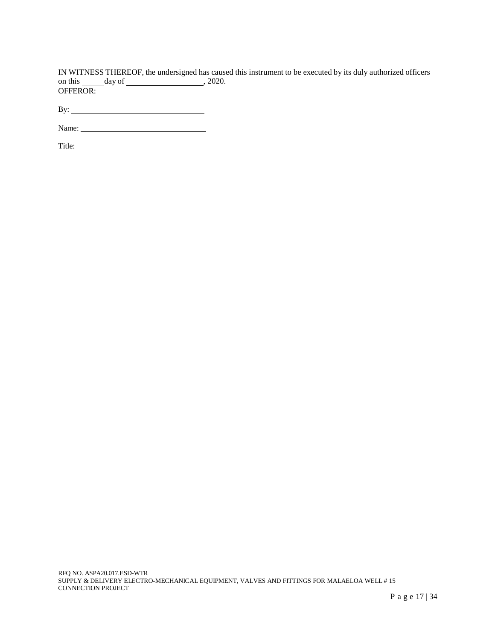IN WITNESS THEREOF, the undersigned has caused this instrument to be executed by its duly authorized officers on this <u>\_\_\_\_\_</u> day of OFFEROR: , 2020.

By:

Name: 2008. 2010. 2010. 2010. 2010. 2010. 2010. 2010. 2010. 2010. 2010. 2010. 2010. 2010. 2010. 2010. 2010. 20<br>2010. 2010. 2010. 2010. 2010. 2010. 2010. 2010. 2010. 2010. 2010. 2010. 2010. 2010. 2010. 2010. 2010. 2010. 20

Title: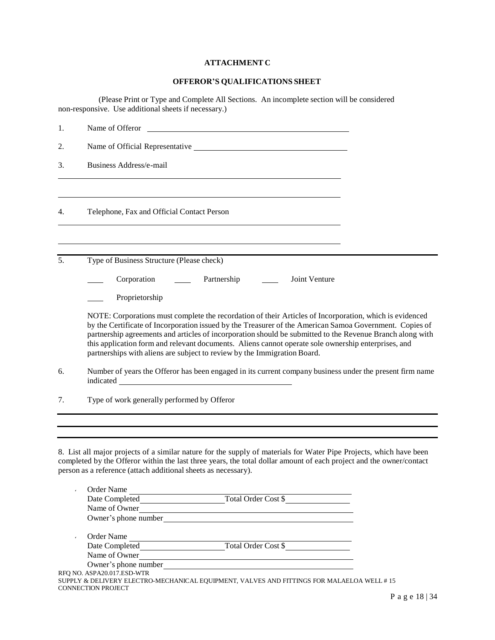## **ATTACHMENT C**

## **OFFEROR'S QUALIFICATIONS SHEET**

(Please Print or Type and Complete All Sections. An incomplete section will be considered non-responsive. Use additional sheets if necessary.)

| 1.         | Name of Offeror<br><u> 1989 - Andrea Stadt Britain, amerikansk politiker (</u>                                                                                                                                                                                                                                                                                                                                                                                                                                     |  |
|------------|--------------------------------------------------------------------------------------------------------------------------------------------------------------------------------------------------------------------------------------------------------------------------------------------------------------------------------------------------------------------------------------------------------------------------------------------------------------------------------------------------------------------|--|
| 2.         |                                                                                                                                                                                                                                                                                                                                                                                                                                                                                                                    |  |
| 3.         | Business Address/e-mail                                                                                                                                                                                                                                                                                                                                                                                                                                                                                            |  |
| 4.         | Telephone, Fax and Official Contact Person                                                                                                                                                                                                                                                                                                                                                                                                                                                                         |  |
| 5.         | Type of Business Structure (Please check)                                                                                                                                                                                                                                                                                                                                                                                                                                                                          |  |
|            | Partnership<br>Joint Venture<br>Corporation                                                                                                                                                                                                                                                                                                                                                                                                                                                                        |  |
|            | Proprietorship                                                                                                                                                                                                                                                                                                                                                                                                                                                                                                     |  |
|            | NOTE: Corporations must complete the recordation of their Articles of Incorporation, which is evidenced<br>by the Certificate of Incorporation issued by the Treasurer of the American Samoa Government. Copies of<br>partnership agreements and articles of incorporation should be submitted to the Revenue Branch along with<br>this application form and relevant documents. Aliens cannot operate sole ownership enterprises, and<br>partnerships with aliens are subject to review by the Immigration Board. |  |
| 6.         | Number of years the Offeror has been engaged in its current company business under the present firm name                                                                                                                                                                                                                                                                                                                                                                                                           |  |
| 7.         | Type of work generally performed by Offeror                                                                                                                                                                                                                                                                                                                                                                                                                                                                        |  |
|            |                                                                                                                                                                                                                                                                                                                                                                                                                                                                                                                    |  |
|            | 8. List all major projects of a similar nature for the supply of materials for Water Pipe Projects, which have been<br>completed by the Offeror within the last three years, the total dollar amount of each project and the owner/contact<br>person as a reference (attach additional sheets as necessary).                                                                                                                                                                                                       |  |
|            | Order Name<br><u> 1980 - Johann Barnett, fransk politik (</u>                                                                                                                                                                                                                                                                                                                                                                                                                                                      |  |
|            | Date Completed Total Order Cost \$                                                                                                                                                                                                                                                                                                                                                                                                                                                                                 |  |
|            | Name of Owner<br><u> 1989 - Johann Stoff, Amerikaansk politiker (</u>                                                                                                                                                                                                                                                                                                                                                                                                                                              |  |
|            | Owner's phone number                                                                                                                                                                                                                                                                                                                                                                                                                                                                                               |  |
| $\epsilon$ | Order Name                                                                                                                                                                                                                                                                                                                                                                                                                                                                                                         |  |
|            | Total Order Cost \$<br>Date Completed                                                                                                                                                                                                                                                                                                                                                                                                                                                                              |  |
|            | Name of Owner                                                                                                                                                                                                                                                                                                                                                                                                                                                                                                      |  |
|            | Owner's phone number                                                                                                                                                                                                                                                                                                                                                                                                                                                                                               |  |

| RFO NO. ASPA20.017.ESD-WTR                                                                 |  |  |
|--------------------------------------------------------------------------------------------|--|--|
| SUPPLY & DELIVERY ELECTRO-MECHANICAL EQUIPMENT, VALVES AND FITTINGS FOR MALAELOA WELL # 15 |  |  |
| <b>CONNECTION PROJECT</b>                                                                  |  |  |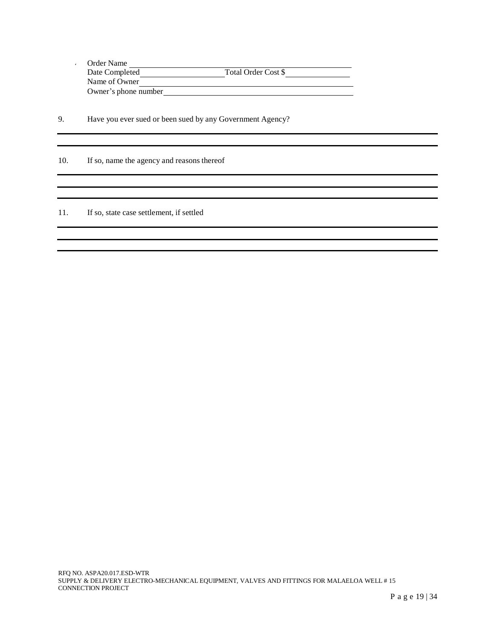| Order Name           |                     |
|----------------------|---------------------|
| Date Completed       | Total Order Cost \$ |
| Name of Owner        |                     |
| Owner's phone number |                     |

9. Have you ever sued or been sued by any Government Agency?

10. If so, name the agency and reasons thereof

11. If so, state case settlement, if settled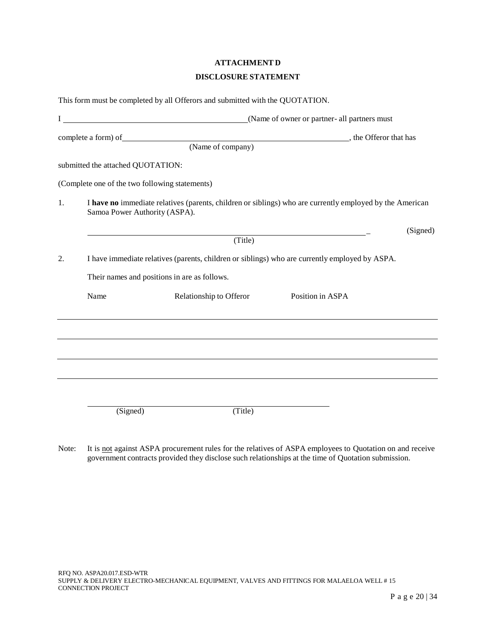### **ATTACHMENT D**

#### **DISCLOSURE STATEMENT**

|    |                                                                                                | This form must be completed by all Offerors and submitted with the QUOTATION.                                                             |                                                                   |  |
|----|------------------------------------------------------------------------------------------------|-------------------------------------------------------------------------------------------------------------------------------------------|-------------------------------------------------------------------|--|
|    |                                                                                                | I (Name of owner or partner- all partners must                                                                                            |                                                                   |  |
|    |                                                                                                | complete a form) of (Name of company), the Offeror that has (Name of company)                                                             |                                                                   |  |
|    | submitted the attached QUOTATION:                                                              |                                                                                                                                           |                                                                   |  |
|    |                                                                                                | (Complete one of the two following statements)                                                                                            |                                                                   |  |
| 1. |                                                                                                | I have no immediate relatives (parents, children or siblings) who are currently employed by the American<br>Samoa Power Authority (ASPA). |                                                                   |  |
|    |                                                                                                |                                                                                                                                           | (Signed)<br><u> 1989 - Johann Stoff, fransk politik (d. 1989)</u> |  |
|    |                                                                                                | (Title)                                                                                                                                   |                                                                   |  |
| 2. | I have immediate relatives (parents, children or siblings) who are currently employed by ASPA. |                                                                                                                                           |                                                                   |  |
|    |                                                                                                | Their names and positions in are as follows.                                                                                              |                                                                   |  |
|    | Name                                                                                           | Relationship to Offeror                                                                                                                   | Position in ASPA                                                  |  |
|    |                                                                                                |                                                                                                                                           |                                                                   |  |
|    |                                                                                                |                                                                                                                                           |                                                                   |  |
|    |                                                                                                |                                                                                                                                           |                                                                   |  |
|    |                                                                                                |                                                                                                                                           |                                                                   |  |
|    | (Signed)                                                                                       | (Title)                                                                                                                                   |                                                                   |  |

Note: It is not against ASPA procurement rules for the relatives of ASPA employees to Quotation on and receive government contracts provided they disclose such relationships at the time of Quotation submission.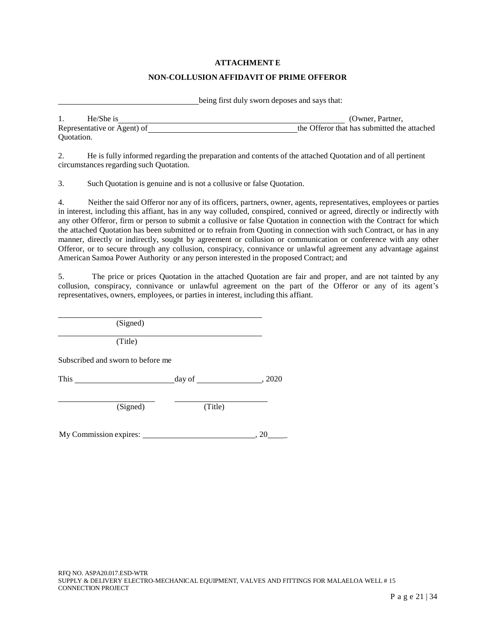#### **ATTACHMENT E**

#### **NON-COLLUSION AFFIDAVIT OF PRIME OFFEROR**

being first duly sworn deposes and says that:

| He/She is                   | (Owner, Partner,                            |
|-----------------------------|---------------------------------------------|
| Representative or Agent) of | the Offeror that has submitted the attached |
| Quotation.                  |                                             |

2. He is fully informed regarding the preparation and contents of the attached Quotation and of all pertinent circumstances regarding such Quotation.

3. Such Quotation is genuine and is not a collusive or false Quotation.

4. Neither the said Offeror nor any of its officers, partners, owner, agents, representatives, employees or parties in interest, including this affiant, has in any way colluded, conspired, connived or agreed, directly or indirectly with any other Offeror, firm or person to submit a collusive or false Quotation in connection with the Contract for which the attached Quotation has been submitted or to refrain from Quoting in connection with such Contract, or has in any manner, directly or indirectly, sought by agreement or collusion or communication or conference with any other Offeror, or to secure through any collusion, conspiracy, connivance or unlawful agreement any advantage against American Samoa Power Authority or any person interested in the proposed Contract; and

5. The price or prices Quotation in the attached Quotation are fair and proper, and are not tainted by any collusion, conspiracy, connivance or unlawful agreement on the part of the Offeror or any of its agent's representatives, owners, employees, or parties in interest, including this affiant.

(Signed)

(Title)

Subscribed and sworn to before me

This day of , 2020

(Signed) (Title)

My Commission expires: 3.20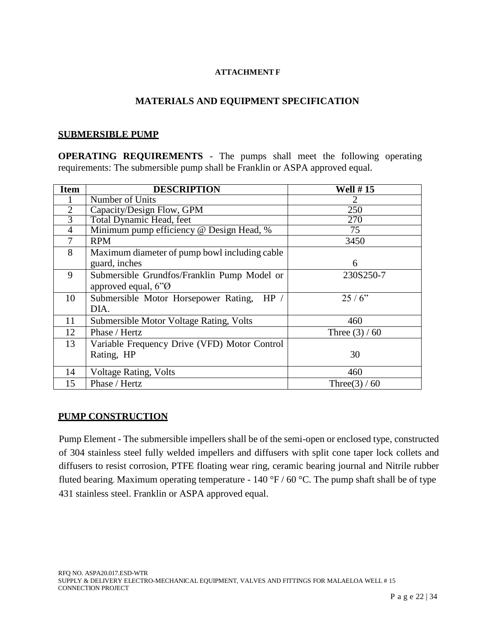### **ATTACHMENT F**

## **MATERIALS AND EQUIPMENT SPECIFICATION**

## **SUBMERSIBLE PUMP**

**OPERATING REQUIREMENTS** - The pumps shall meet the following operating requirements: The submersible pump shall be Franklin or ASPA approved equal.

| <b>Item</b>    | <b>DESCRIPTION</b>                            | <b>Well #15</b>  |
|----------------|-----------------------------------------------|------------------|
|                | Number of Units                               | 2                |
| $\overline{2}$ | Capacity/Design Flow, GPM                     | 250              |
| $\overline{3}$ | Total Dynamic Head, feet                      | 270              |
| $\overline{4}$ | Minimum pump efficiency @ Design Head, %      | 75               |
| $\overline{7}$ | <b>RPM</b>                                    | 3450             |
| 8              | Maximum diameter of pump bowl including cable |                  |
|                | guard, inches                                 | 6                |
| 9              | Submersible Grundfos/Franklin Pump Model or   | 230S250-7        |
|                | approved equal, 6"Ø                           |                  |
| 10             | Submersible Motor Horsepower Rating,<br>HP /  | 25/6"            |
|                | DIA.                                          |                  |
| 11             | Submersible Motor Voltage Rating, Volts       | 460              |
| 12             | Phase / Hertz                                 | Three $(3) / 60$ |
| 13             | Variable Frequency Drive (VFD) Motor Control  |                  |
|                | Rating, HP                                    | 30               |
| 14             | <b>Voltage Rating, Volts</b>                  | 460              |
| 15             |                                               |                  |
|                | Phase / Hertz                                 | Three(3) $/60$   |

## **PUMP CONSTRUCTION**

Pump Element - The submersible impellers shall be of the semi-open or enclosed type, constructed of 304 stainless steel fully welded impellers and diffusers with split cone taper lock collets and diffusers to resist corrosion, PTFE floating wear ring, ceramic bearing journal and Nitrile rubber fluted bearing. Maximum operating temperature -  $140 \degree F / 60 \degree C$ . The pump shaft shall be of type 431 stainless steel. Franklin or ASPA approved equal.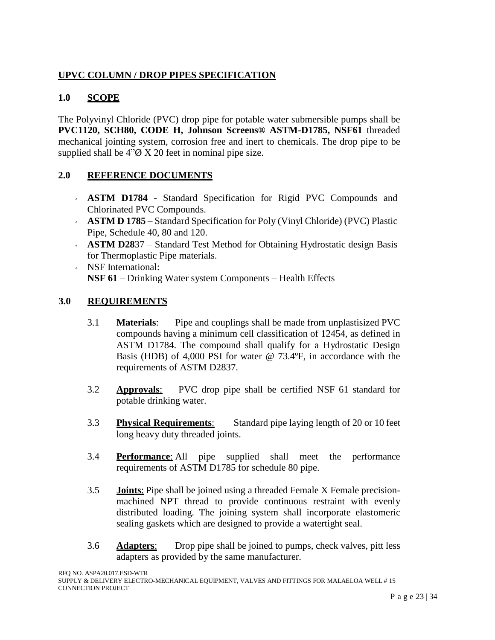# **UPVC COLUMN / DROP PIPES SPECIFICATION**

# **1.0 SCOPE**

The Polyvinyl Chloride (PVC) drop pipe for potable water submersible pumps shall be **PVC1120, SCH80, CODE H, Johnson Screens® ASTM-D1785, NSF61** threaded mechanical jointing system, corrosion free and inert to chemicals. The drop pipe to be supplied shall be  $4\degree\cancel{0}$  X 20 feet in nominal pipe size.

## **2.0 REFERENCE DOCUMENTS**

- **ASTM D1784**  Standard Specification for Rigid PVC Compounds and Chlorinated PVC Compounds.
- **ASTM D 1785** Standard Specification for Poly (Vinyl Chloride) (PVC) Plastic Pipe, Schedule 40, 80 and 120.
- **ASTM D28**37 Standard Test Method for Obtaining Hydrostatic design Basis for Thermoplastic Pipe materials.
- NSF International: **NSF 61** – Drinking Water system Components – Health Effects

## **3.0 REQUIREMENTS**

- 3.1 **Materials**: Pipe and couplings shall be made from unplastisized PVC compounds having a minimum cell classification of 12454, as defined in ASTM D1784. The compound shall qualify for a Hydrostatic Design Basis (HDB) of 4,000 PSI for water @ 73.4ºF, in accordance with the requirements of ASTM D2837.
- 3.2 **Approvals**: PVC drop pipe shall be certified NSF 61 standard for potable drinking water.
- 3.3 **Physical Requirements**: Standard pipe laying length of 20 or 10 feet long heavy duty threaded joints.
- 3.4 **Performance**: All pipe supplied shall meet the performance requirements of ASTM D1785 for schedule 80 pipe.
- 3.5 **Joints**: Pipe shall be joined using a threaded Female X Female precisionmachined NPT thread to provide continuous restraint with evenly distributed loading. The joining system shall incorporate elastomeric sealing gaskets which are designed to provide a watertight seal.
- 3.6 **Adapters**: Drop pipe shall be joined to pumps, check valves, pitt less adapters as provided by the same manufacturer.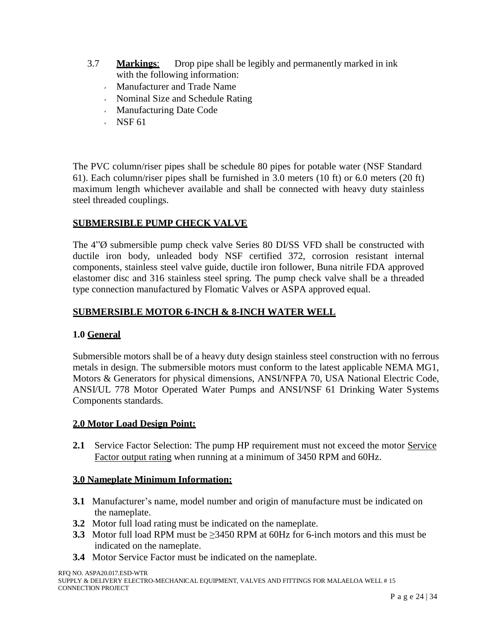- 3.7 **Markings**: Drop pipe shall be legibly and permanently marked in ink with the following information:
	- Manufacturer and Trade Name
	- Nominal Size and Schedule Rating
	- Manufacturing Date Code
	- $\cdot$  NSF 61

The PVC column/riser pipes shall be schedule 80 pipes for potable water (NSF Standard 61). Each column/riser pipes shall be furnished in 3.0 meters (10 ft) or 6.0 meters (20 ft) maximum length whichever available and shall be connected with heavy duty stainless steel threaded couplings.

# **SUBMERSIBLE PUMP CHECK VALVE**

The 4"Ø submersible pump check valve Series 80 DI/SS VFD shall be constructed with ductile iron body, unleaded body NSF certified 372, corrosion resistant internal components, stainless steel valve guide, ductile iron follower, Buna nitrile FDA approved elastomer disc and 316 stainless steel spring. The pump check valve shall be a threaded type connection manufactured by Flomatic Valves or ASPA approved equal.

## **SUBMERSIBLE MOTOR 6-INCH & 8-INCH WATER WELL**

## **1.0 General**

Submersible motors shall be of a heavy duty design stainless steel construction with no ferrous metals in design. The submersible motors must conform to the latest applicable NEMA MG1, Motors & Generators for physical dimensions, ANSI/NFPA 70, USA National Electric Code, ANSI/UL 778 Motor Operated Water Pumps and ANSI/NSF 61 Drinking Water Systems Components standards.

## **2.0 Motor Load Design Point:**

**2.1** Service Factor Selection: The pump HP requirement must not exceed the motor Service Factor output rating when running at a minimum of 3450 RPM and 60Hz.

## **3.0 Nameplate Minimum Information:**

- **3.1** Manufacturer's name, model number and origin of manufacture must be indicated on the nameplate.
- **3.2** Motor full load rating must be indicated on the nameplate.
- **3.3** Motor full load RPM must be ≥3450 RPM at 60Hz for 6-inch motors and this must be indicated on the nameplate.
- **3.4** Motor Service Factor must be indicated on the nameplate.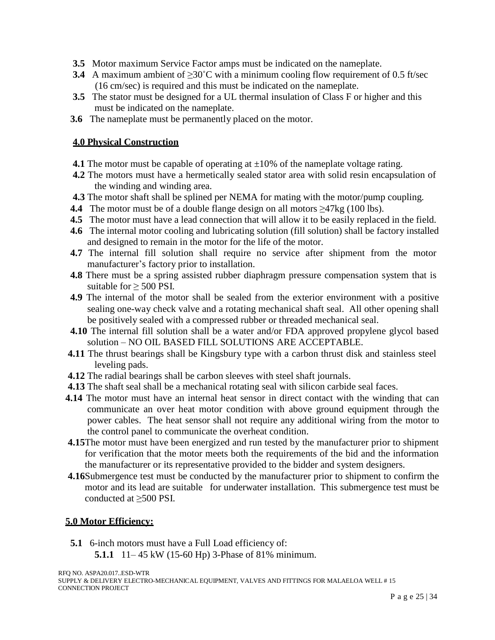- **3.5** Motor maximum Service Factor amps must be indicated on the nameplate.
- **3.4** A maximum ambient of ≥30°C with a minimum cooling flow requirement of 0.5 ft/sec (16 cm/sec) is required and this must be indicated on the nameplate.
- **3.5** The stator must be designed for a UL thermal insulation of Class F or higher and this must be indicated on the nameplate.
- **3.6** The nameplate must be permanently placed on the motor.

# **4.0 Physical Construction**

- **4.1** The motor must be capable of operating at  $\pm 10\%$  of the nameplate voltage rating.
- **4.2** The motors must have a hermetically sealed stator area with solid resin encapsulation of the winding and winding area.
- **4.3** The motor shaft shall be splined per NEMA for mating with the motor/pump coupling.
- **4.4** The motor must be of a double flange design on all motors ≥47kg (100 lbs).
- **4.5** The motor must have a lead connection that will allow it to be easily replaced in the field.
- **4.6** The internal motor cooling and lubricating solution (fill solution) shall be factory installed and designed to remain in the motor for the life of the motor.
- **4.7** The internal fill solution shall require no service after shipment from the motor manufacturer's factory prior to installation.
- **4.8** There must be a spring assisted rubber diaphragm pressure compensation system that is suitable for  $>$  500 PSI.
- **4.9** The internal of the motor shall be sealed from the exterior environment with a positive sealing one-way check valve and a rotating mechanical shaft seal. All other opening shall be positively sealed with a compressed rubber or threaded mechanical seal.
- **4.10** The internal fill solution shall be a water and/or FDA approved propylene glycol based solution – NO OIL BASED FILL SOLUTIONS ARE ACCEPTABLE.
- **4.11** The thrust bearings shall be Kingsbury type with a carbon thrust disk and stainless steel leveling pads.
- **4.12** The radial bearings shall be carbon sleeves with steel shaft journals.
- **4.13** The shaft seal shall be a mechanical rotating seal with silicon carbide seal faces.
- **4.14** The motor must have an internal heat sensor in direct contact with the winding that can communicate an over heat motor condition with above ground equipment through the power cables. The heat sensor shall not require any additional wiring from the motor to the control panel to communicate the overheat condition.
- **4.15**The motor must have been energized and run tested by the manufacturer prior to shipment for verification that the motor meets both the requirements of the bid and the information the manufacturer or its representative provided to the bidder and system designers.
- **4.16**Submergence test must be conducted by the manufacturer prior to shipment to confirm the motor and its lead are suitable for underwater installation. This submergence test must be conducted at ≥500 PSI.

## **5.0 Motor Efficiency:**

**5.1.1** 11– 45 kW (15-60 Hp) 3-Phase of 81% minimum. **5.1** 6-inch motors must have a Full Load efficiency of: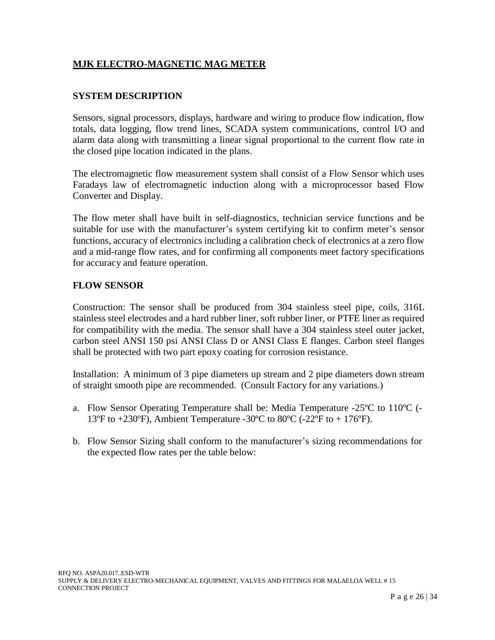# **MJK ELECTRO-MAGNETIC MAG METER**

## **SYSTEM DESCRIPTION**

Sensors, signal processors, displays, hardware and wiring to produce flow indication, flow totals, data logging, flow trend lines, SCADA system communications, control I/O and alarm data along with transmitting a linear signal proportional to the current flow rate in the closed pipe location indicated in the plans.

The electromagnetic flow measurement system shall consist of a Flow Sensor which uses Faradays law of electromagnetic induction along with a microprocessor based Flow Converter and Display.

The flow meter shall have built in self-diagnostics, technician service functions and be suitable for use with the manufacturer's system certifying kit to confirm meter's sensor functions, accuracy of electronics including a calibration check of electronics at a zero flow and a mid-range flow rates, and for confirming all components meet factory specifications for accuracy and feature operation.

## **FLOW SENSOR**

Construction: The sensor shall be produced from 304 stainless steel pipe, coils, 316L stainless steel electrodes and a hard rubber liner, soft rubber liner, or PTFE liner as required for compatibility with the media. The sensor shall have a 304 stainless steel outer jacket, carbon steel ANSI 150 psi ANSI Class D or ANSI Class E flanges. Carbon steel flanges shall be protected with two part epoxy coating for corrosion resistance.

Installation: A minimum of 3 pipe diameters up stream and 2 pipe diameters down stream of straight smooth pipe are recommended. (Consult Factory for any variations.)

- a. Flow Sensor Operating Temperature shall be: Media Temperature -25ºC to 110ºC (- 13°F to  $+230$ °F), Ambient Temperature -30°C to 80°C (-22°F to  $+176$ °F).
- b. Flow Sensor Sizing shall conform to the manufacturer's sizing recommendations for the expected flow rates per the table below: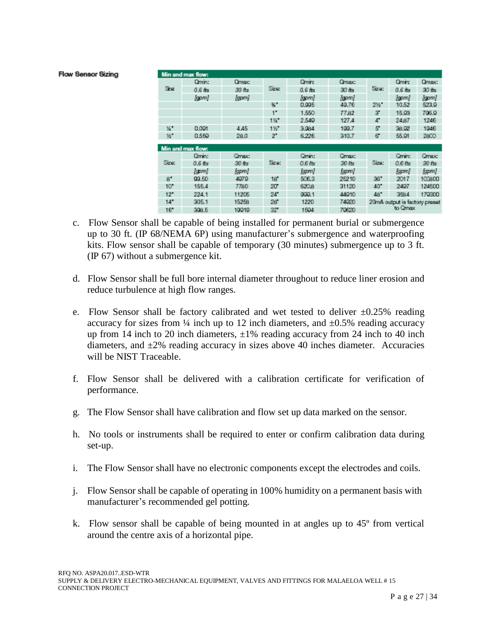#### Flow Sensor Sizing

| Min and max flow: |           |                |             |              |          |                                          |              |          |
|-------------------|-----------|----------------|-------------|--------------|----------|------------------------------------------|--------------|----------|
| Sza               | Qmin:     | Qmax:          | Size:       | <b>Qmint</b> | Qmax:    | Sizo:                                    | <b>Qmin:</b> | Qmax:    |
|                   | $0.6$ fts | $30$ $\hbar$ s |             | $0.6$ fts    | $30$ fts |                                          | $0.6$ fts    | $30$ fts |
|                   | (gom)     | [gom]          |             | (gom)        | (gom)    |                                          | (gom)        | (gom)    |
|                   |           |                | ₩.          | 0.995        | 49.76    | 215                                      | 10.52        | 523.0    |
|                   |           |                | $1^{\circ}$ | 1.550        | 77.82    | з                                        | 15.03        | 706.0    |
|                   |           |                | 116         | 2.540        | 127.4    | 4"                                       | 24.87        | 1246     |
| 16*               | 0.001     | 4.45           | 115         | 3,984        | 100.7    | 5                                        | 38.02        | 1946     |
| $16$              | 0.550     | 28.0           | $2^{\circ}$ | 6.226        | 310.7    | 67                                       | 55.OI        | 2800     |
| Min and max flow: |           |                |             |              |          |                                          |              |          |
| Size:             | Qmin:     | Omax:          | Sizo:       | Omin:        | Qmax:    | Size:                                    | Omin:        | Omax:    |
|                   | $0.6$ fts | 30 fts         |             | $0.6$ far    | 30 far   |                                          | $0.6$ far    | 30 fas   |
|                   | (gpm)     | (gpm)          |             | (gpm)        | (gpm)    |                                          | kapm)        | kapm)    |
| $8^{\bullet}$     | 09.50     | 4070           | 18          | 506.3        | 25210    | 36.                                      | 2017         | 100800   |
| $10^{\circ}$      | 155.4     | 7780           | 20°         | 620.8        | 31120    | 40"                                      | 2407         | 124500   |
| 12"               | 224.1     | 11206          | 24"         | 000.1        | 44010    | 48*                                      | 3684         | 170300   |
| 14"               | 305.1     | 15258          | 28          | 1220         | 74920    | 20mA output is factory preset<br>to Omax |              |          |
| 16"               | 308.5     | 19919          | 32          | 1504         | 70620    |                                          |              |          |

- c. Flow Sensor shall be capable of being installed for permanent burial or submergence up to 30 ft. (IP 68/NEMA 6P) using manufacturer's submergence and waterproofing kits. Flow sensor shall be capable of temporary (30 minutes) submergence up to 3 ft. (IP 67) without a submergence kit.
- d. Flow Sensor shall be full bore internal diameter throughout to reduce liner erosion and reduce turbulence at high flow ranges.
- e. Flow Sensor shall be factory calibrated and wet tested to deliver  $\pm 0.25\%$  reading accuracy for sizes from  $\frac{1}{4}$  inch up to 12 inch diameters, and  $\pm 0.5\%$  reading accuracy up from 14 inch to 20 inch diameters,  $\pm 1\%$  reading accuracy from 24 inch to 40 inch diameters, and  $\pm 2\%$  reading accuracy in sizes above 40 inches diameter. Accuracies will be NIST Traceable.
- f. Flow Sensor shall be delivered with a calibration certificate for verification of performance.
- g. The Flow Sensor shall have calibration and flow set up data marked on the sensor.
- h. No tools or instruments shall be required to enter or confirm calibration data during set-up.
- i. The Flow Sensor shall have no electronic components except the electrodes and coils.
- j. Flow Sensor shall be capable of operating in 100% humidity on a permanent basis with manufacturer's recommended gel potting.
- k. Flow sensor shall be capable of being mounted in at angles up to 45º from vertical around the centre axis of a horizontal pipe.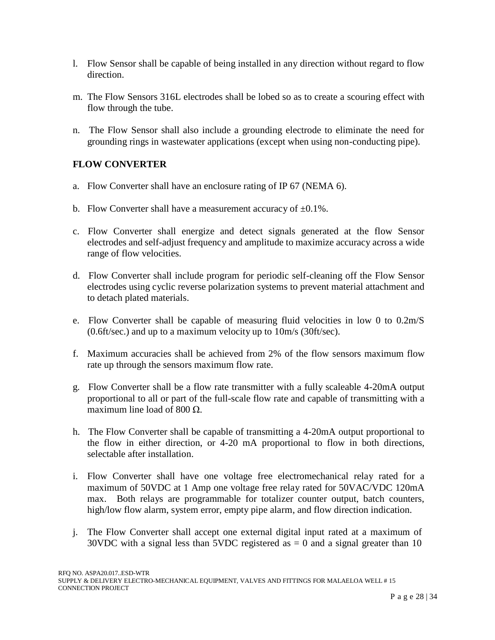- l. Flow Sensor shall be capable of being installed in any direction without regard to flow direction.
- m. The Flow Sensors 316L electrodes shall be lobed so as to create a scouring effect with flow through the tube.
- n. The Flow Sensor shall also include a grounding electrode to eliminate the need for grounding rings in wastewater applications (except when using non-conducting pipe).

# **FLOW CONVERTER**

- a. Flow Converter shall have an enclosure rating of IP 67 (NEMA 6).
- b. Flow Converter shall have a measurement accuracy of  $\pm 0.1\%$ .
- c. Flow Converter shall energize and detect signals generated at the flow Sensor electrodes and self-adjust frequency and amplitude to maximize accuracy across a wide range of flow velocities.
- d. Flow Converter shall include program for periodic self-cleaning off the Flow Sensor electrodes using cyclic reverse polarization systems to prevent material attachment and to detach plated materials.
- e. Flow Converter shall be capable of measuring fluid velocities in low 0 to 0.2m/S (0.6ft/sec.) and up to a maximum velocity up to 10m/s (30ft/sec).
- f. Maximum accuracies shall be achieved from 2% of the flow sensors maximum flow rate up through the sensors maximum flow rate.
- g. Flow Converter shall be a flow rate transmitter with a fully scaleable 4-20mA output proportional to all or part of the full-scale flow rate and capable of transmitting with a maximum line load of 800 Ω.
- h. The Flow Converter shall be capable of transmitting a 4-20mA output proportional to the flow in either direction, or 4-20 mA proportional to flow in both directions, selectable after installation.
- i. Flow Converter shall have one voltage free electromechanical relay rated for a maximum of 50VDC at 1 Amp one voltage free relay rated for 50VAC/VDC 120mA max. Both relays are programmable for totalizer counter output, batch counters, high/low flow alarm, system error, empty pipe alarm, and flow direction indication.
- j. The Flow Converter shall accept one external digital input rated at a maximum of 30VDC with a signal less than 5VDC registered as  $= 0$  and a signal greater than 10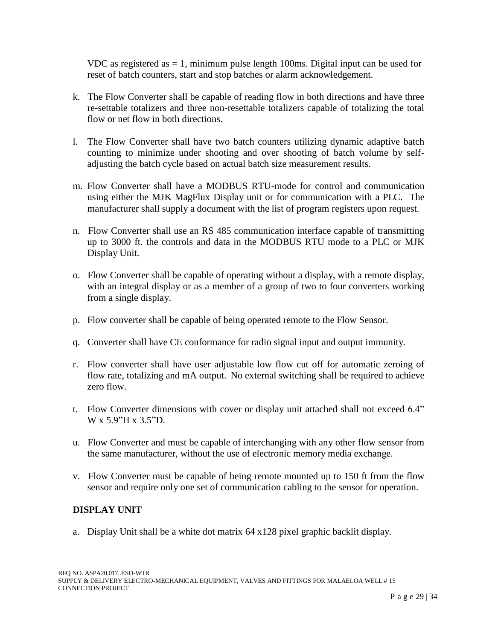VDC as registered as  $= 1$ , minimum pulse length 100ms. Digital input can be used for reset of batch counters, start and stop batches or alarm acknowledgement.

- k. The Flow Converter shall be capable of reading flow in both directions and have three re-settable totalizers and three non-resettable totalizers capable of totalizing the total flow or net flow in both directions.
- l. The Flow Converter shall have two batch counters utilizing dynamic adaptive batch counting to minimize under shooting and over shooting of batch volume by selfadjusting the batch cycle based on actual batch size measurement results.
- m. Flow Converter shall have a MODBUS RTU-mode for control and communication using either the MJK MagFlux Display unit or for communication with a PLC. The manufacturer shall supply a document with the list of program registers upon request.
- n. Flow Converter shall use an RS 485 communication interface capable of transmitting up to 3000 ft. the controls and data in the MODBUS RTU mode to a PLC or MJK Display Unit.
- o. Flow Converter shall be capable of operating without a display, with a remote display, with an integral display or as a member of a group of two to four converters working from a single display.
- p. Flow converter shall be capable of being operated remote to the Flow Sensor.
- q. Converter shall have CE conformance for radio signal input and output immunity.
- r. Flow converter shall have user adjustable low flow cut off for automatic zeroing of flow rate, totalizing and mA output. No external switching shall be required to achieve zero flow.
- t. Flow Converter dimensions with cover or display unit attached shall not exceed 6.4" W x 5.9"H x 3.5"D.
- u. Flow Converter and must be capable of interchanging with any other flow sensor from the same manufacturer, without the use of electronic memory media exchange.
- v. Flow Converter must be capable of being remote mounted up to 150 ft from the flow sensor and require only one set of communication cabling to the sensor for operation.

## **DISPLAY UNIT**

a. Display Unit shall be a white dot matrix 64 x128 pixel graphic backlit display.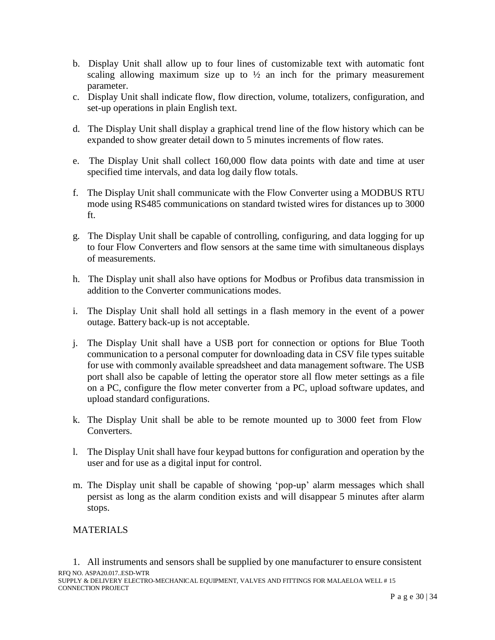- b. Display Unit shall allow up to four lines of customizable text with automatic font scaling allowing maximum size up to  $\frac{1}{2}$  an inch for the primary measurement parameter.
- c. Display Unit shall indicate flow, flow direction, volume, totalizers, configuration, and set-up operations in plain English text.
- d. The Display Unit shall display a graphical trend line of the flow history which can be expanded to show greater detail down to 5 minutes increments of flow rates.
- e. The Display Unit shall collect 160,000 flow data points with date and time at user specified time intervals, and data log daily flow totals.
- f. The Display Unit shall communicate with the Flow Converter using a MODBUS RTU mode using RS485 communications on standard twisted wires for distances up to 3000 ft.
- g. The Display Unit shall be capable of controlling, configuring, and data logging for up to four Flow Converters and flow sensors at the same time with simultaneous displays of measurements.
- h. The Display unit shall also have options for Modbus or Profibus data transmission in addition to the Converter communications modes.
- i. The Display Unit shall hold all settings in a flash memory in the event of a power outage. Battery back-up is not acceptable.
- j. The Display Unit shall have a USB port for connection or options for Blue Tooth communication to a personal computer for downloading data in CSV file types suitable for use with commonly available spreadsheet and data management software. The USB port shall also be capable of letting the operator store all flow meter settings as a file on a PC, configure the flow meter converter from a PC, upload software updates, and upload standard configurations.
- k. The Display Unit shall be able to be remote mounted up to 3000 feet from Flow Converters.
- l. The Display Unit shall have four keypad buttons for configuration and operation by the user and for use as a digital input for control.
- m. The Display unit shall be capable of showing 'pop-up' alarm messages which shall persist as long as the alarm condition exists and will disappear 5 minutes after alarm stops.

# MATERIALS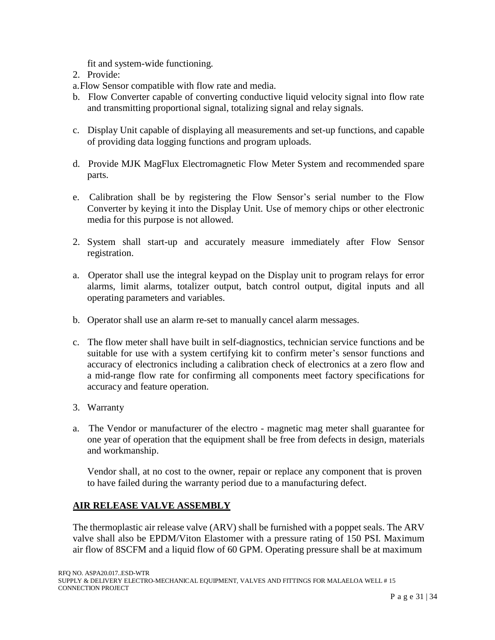fit and system-wide functioning.

2. Provide:

a.Flow Sensor compatible with flow rate and media.

- b. Flow Converter capable of converting conductive liquid velocity signal into flow rate and transmitting proportional signal, totalizing signal and relay signals.
- c. Display Unit capable of displaying all measurements and set-up functions, and capable of providing data logging functions and program uploads.
- d. Provide MJK MagFlux Electromagnetic Flow Meter System and recommended spare parts.
- e. Calibration shall be by registering the Flow Sensor's serial number to the Flow Converter by keying it into the Display Unit. Use of memory chips or other electronic media for this purpose is not allowed.
- 2. System shall start-up and accurately measure immediately after Flow Sensor registration.
- a. Operator shall use the integral keypad on the Display unit to program relays for error alarms, limit alarms, totalizer output, batch control output, digital inputs and all operating parameters and variables.
- b. Operator shall use an alarm re-set to manually cancel alarm messages.
- c. The flow meter shall have built in self-diagnostics, technician service functions and be suitable for use with a system certifying kit to confirm meter's sensor functions and accuracy of electronics including a calibration check of electronics at a zero flow and a mid-range flow rate for confirming all components meet factory specifications for accuracy and feature operation.
- 3. Warranty
- a. The Vendor or manufacturer of the electro magnetic mag meter shall guarantee for one year of operation that the equipment shall be free from defects in design, materials and workmanship.

Vendor shall, at no cost to the owner, repair or replace any component that is proven to have failed during the warranty period due to a manufacturing defect.

# **AIR RELEASE VALVE ASSEMBLY**

The thermoplastic air release valve (ARV) shall be furnished with a poppet seals. The ARV valve shall also be EPDM/Viton Elastomer with a pressure rating of 150 PSI. Maximum air flow of 8SCFM and a liquid flow of 60 GPM. Operating pressure shall be at maximum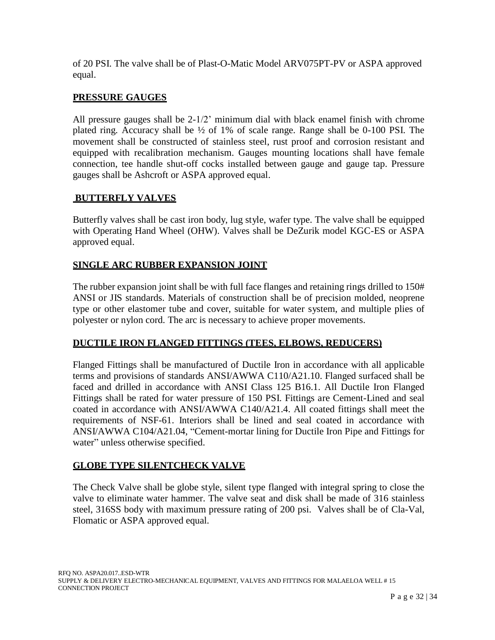of 20 PSI. The valve shall be of Plast-O-Matic Model ARV075PT-PV or ASPA approved equal.

## **PRESSURE GAUGES**

All pressure gauges shall be 2-1/2' minimum dial with black enamel finish with chrome plated ring. Accuracy shall be ½ of 1% of scale range. Range shall be 0-100 PSI. The movement shall be constructed of stainless steel, rust proof and corrosion resistant and equipped with recalibration mechanism. Gauges mounting locations shall have female connection, tee handle shut-off cocks installed between gauge and gauge tap. Pressure gauges shall be Ashcroft or ASPA approved equal.

## **BUTTERFLY VALVES**

Butterfly valves shall be cast iron body, lug style, wafer type. The valve shall be equipped with Operating Hand Wheel (OHW). Valves shall be DeZurik model KGC-ES or ASPA approved equal.

## **SINGLE ARC RUBBER EXPANSION JOINT**

The rubber expansion joint shall be with full face flanges and retaining rings drilled to 150# ANSI or JIS standards. Materials of construction shall be of precision molded, neoprene type or other elastomer tube and cover, suitable for water system, and multiple plies of polyester or nylon cord. The arc is necessary to achieve proper movements.

## **DUCTILE IRON FLANGED FITTINGS (TEES, ELBOWS, REDUCERS)**

Flanged Fittings shall be manufactured of Ductile Iron in accordance with all applicable terms and provisions of standards ANSI/AWWA C110/A21.10. Flanged surfaced shall be faced and drilled in accordance with ANSI Class 125 B16.1. All Ductile Iron Flanged Fittings shall be rated for water pressure of 150 PSI. Fittings are Cement-Lined and seal coated in accordance with ANSI/AWWA C140/A21.4. All coated fittings shall meet the requirements of NSF-61. Interiors shall be lined and seal coated in accordance with ANSI/AWWA C104/A21.04, "Cement-mortar lining for Ductile Iron Pipe and Fittings for water" unless otherwise specified.

## **GLOBE TYPE SILENTCHECK VALVE**

The Check Valve shall be globe style, silent type flanged with integral spring to close the valve to eliminate water hammer. The valve seat and disk shall be made of 316 stainless steel, 316SS body with maximum pressure rating of 200 psi. Valves shall be of Cla-Val, Flomatic or ASPA approved equal.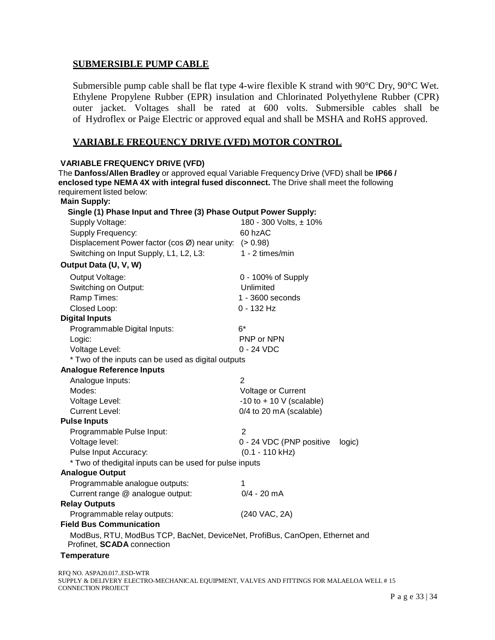## **SUBMERSIBLE PUMP CABLE**

Submersible pump cable shall be flat type 4-wire flexible K strand with 90°C Dry, 90°C Wet. Ethylene Propylene Rubber (EPR) insulation and Chlorinated Polyethylene Rubber (CPR) outer jacket. Voltages shall be rated at 600 volts. Submersible cables shall be of Hydroflex or Paige Electric or approved equal and shall be MSHA and RoHS approved.

## **VARIABLE FREQUENCY DRIVE (VFD) MOTOR CONTROL**

| <b>VARIABLE FREQUENCY DRIVE (VFD)</b>                                                      |                                    |  |  |  |  |  |
|--------------------------------------------------------------------------------------------|------------------------------------|--|--|--|--|--|
| The Danfoss/Allen Bradley or approved equal Variable Frequency Drive (VFD) shall be IP66 / |                                    |  |  |  |  |  |
| enclosed type NEMA 4X with integral fused disconnect. The Drive shall meet the following   |                                    |  |  |  |  |  |
| requirement listed below:                                                                  |                                    |  |  |  |  |  |
| <b>Main Supply:</b>                                                                        |                                    |  |  |  |  |  |
| Single (1) Phase Input and Three (3) Phase Output Power Supply:                            |                                    |  |  |  |  |  |
| Supply Voltage:                                                                            | 180 - 300 Volts, ± 10%             |  |  |  |  |  |
| Supply Frequency:                                                                          | 60 hzAC                            |  |  |  |  |  |
| Displacement Power factor (cos $\varnothing$ ) near unity: (> 0.98)                        |                                    |  |  |  |  |  |
| Switching on Input Supply, L1, L2, L3:                                                     | 1 - 2 times/min                    |  |  |  |  |  |
| Output Data (U, V, W)                                                                      |                                    |  |  |  |  |  |
| Output Voltage:                                                                            | 0 - 100% of Supply                 |  |  |  |  |  |
| Switching on Output:                                                                       | Unlimited                          |  |  |  |  |  |
| Ramp Times:                                                                                | 1 - 3600 seconds                   |  |  |  |  |  |
| Closed Loop:                                                                               | $0 - 132$ Hz                       |  |  |  |  |  |
| <b>Digital Inputs</b>                                                                      |                                    |  |  |  |  |  |
| Programmable Digital Inputs:                                                               | $6*$                               |  |  |  |  |  |
| Logic:                                                                                     | PNP or NPN                         |  |  |  |  |  |
| Voltage Level:                                                                             | $0 - 24$ VDC                       |  |  |  |  |  |
| * Two of the inputs can be used as digital outputs                                         |                                    |  |  |  |  |  |
| <b>Analogue Reference Inputs</b>                                                           |                                    |  |  |  |  |  |
| Analogue Inputs:                                                                           | $\overline{2}$                     |  |  |  |  |  |
| Modes:                                                                                     | <b>Voltage or Current</b>          |  |  |  |  |  |
| Voltage Level:                                                                             | $-10$ to $+10$ V (scalable)        |  |  |  |  |  |
| <b>Current Level:</b>                                                                      | 0/4 to 20 mA (scalable)            |  |  |  |  |  |
| <b>Pulse Inputs</b>                                                                        |                                    |  |  |  |  |  |
| Programmable Pulse Input:                                                                  | $\overline{2}$                     |  |  |  |  |  |
| Voltage level:                                                                             | 0 - 24 VDC (PNP positive<br>logic) |  |  |  |  |  |
| Pulse Input Accuracy:                                                                      | $(0.1 - 110$ kHz)                  |  |  |  |  |  |
| * Two of thedigital inputs can be used for pulse inputs                                    |                                    |  |  |  |  |  |
| <b>Analogue Output</b>                                                                     |                                    |  |  |  |  |  |
| Programmable analogue outputs:                                                             | 1                                  |  |  |  |  |  |
| Current range @ analogue output:                                                           | $0/4 - 20$ mA                      |  |  |  |  |  |
| <b>Relay Outputs</b>                                                                       |                                    |  |  |  |  |  |
| Programmable relay outputs:                                                                | (240 VAC, 2A)                      |  |  |  |  |  |
| <b>Field Bus Communication</b>                                                             |                                    |  |  |  |  |  |
| ModBus, RTU, ModBus TCP, BacNet, DeviceNet, ProfiBus, CanOpen, Ethernet and                |                                    |  |  |  |  |  |
| Profinet, SCADA connection                                                                 |                                    |  |  |  |  |  |
| <b>Temperature</b>                                                                         |                                    |  |  |  |  |  |
|                                                                                            |                                    |  |  |  |  |  |

RFQ NO. ASPA20.017..ESD-WTR SUPPLY & DELIVERY ELECTRO-MECHANICAL EQUIPMENT, VALVES AND FITTINGS FOR MALAELOA WELL # 15 CONNECTION PROJECT